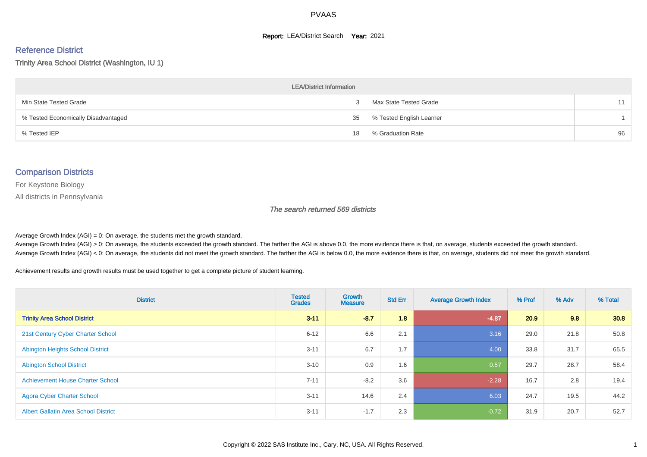#### **Report: LEA/District Search Year: 2021**

# Reference District

Trinity Area School District (Washington, IU 1)

| <b>LEA/District Information</b>     |    |                          |    |  |  |  |  |  |  |
|-------------------------------------|----|--------------------------|----|--|--|--|--|--|--|
| Min State Tested Grade              |    | Max State Tested Grade   | 11 |  |  |  |  |  |  |
| % Tested Economically Disadvantaged | 35 | % Tested English Learner |    |  |  |  |  |  |  |
| % Tested IEP                        | 18 | % Graduation Rate        | 96 |  |  |  |  |  |  |

#### Comparison Districts

For Keystone Biology

All districts in Pennsylvania

The search returned 569 districts

Average Growth Index  $(AGI) = 0$ : On average, the students met the growth standard.

Average Growth Index (AGI) > 0: On average, the students exceeded the growth standard. The farther the AGI is above 0.0, the more evidence there is that, on average, students exceeded the growth standard. Average Growth Index (AGI) < 0: On average, the students did not meet the growth standard. The farther the AGI is below 0.0, the more evidence there is that, on average, students did not meet the growth standard.

Achievement results and growth results must be used together to get a complete picture of student learning.

| <b>District</b>                             | <b>Tested</b><br><b>Grades</b> | <b>Growth</b><br><b>Measure</b> | <b>Std Err</b> | <b>Average Growth Index</b> | % Prof | % Adv | % Total |
|---------------------------------------------|--------------------------------|---------------------------------|----------------|-----------------------------|--------|-------|---------|
| <b>Trinity Area School District</b>         | $3 - 11$                       | $-8.7$                          | 1.8            | $-4.87$                     | 20.9   | 9.8   | 30.8    |
| 21st Century Cyber Charter School           | $6 - 12$                       | 6.6                             | 2.1            | 3.16                        | 29.0   | 21.8  | 50.8    |
| <b>Abington Heights School District</b>     | $3 - 11$                       | 6.7                             | 1.7            | 4.00                        | 33.8   | 31.7  | 65.5    |
| <b>Abington School District</b>             | $3 - 10$                       | 0.9                             | 1.6            | 0.57                        | 29.7   | 28.7  | 58.4    |
| <b>Achievement House Charter School</b>     | $7 - 11$                       | $-8.2$                          | 3.6            | $-2.28$                     | 16.7   | 2.8   | 19.4    |
| <b>Agora Cyber Charter School</b>           | $3 - 11$                       | 14.6                            | 2.4            | 6.03                        | 24.7   | 19.5  | 44.2    |
| <b>Albert Gallatin Area School District</b> | $3 - 11$                       | $-1.7$                          | 2.3            | $-0.72$                     | 31.9   | 20.7  | 52.7    |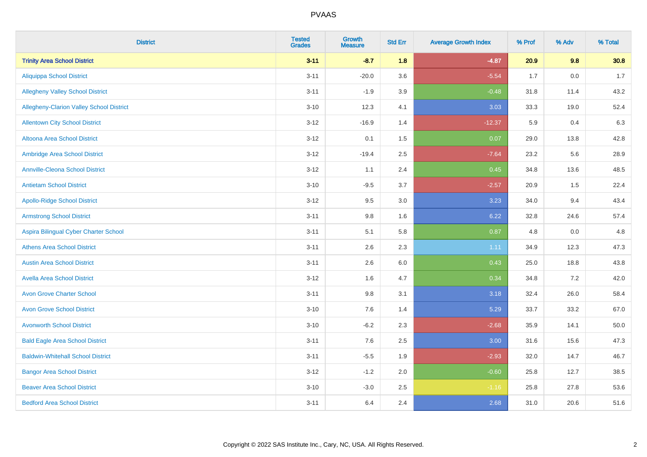| <b>District</b>                                 | <b>Tested</b><br><b>Grades</b> | Growth<br><b>Measure</b> | <b>Std Err</b> | <b>Average Growth Index</b> | % Prof | % Adv   | % Total |
|-------------------------------------------------|--------------------------------|--------------------------|----------------|-----------------------------|--------|---------|---------|
| <b>Trinity Area School District</b>             | $3 - 11$                       | $-8.7$                   | 1.8            | $-4.87$                     | 20.9   | 9.8     | 30.8    |
| <b>Aliquippa School District</b>                | $3 - 11$                       | $-20.0$                  | 3.6            | $-5.54$                     | 1.7    | $0.0\,$ | 1.7     |
| <b>Allegheny Valley School District</b>         | $3 - 11$                       | $-1.9$                   | 3.9            | $-0.48$                     | 31.8   | 11.4    | 43.2    |
| <b>Allegheny-Clarion Valley School District</b> | $3 - 10$                       | 12.3                     | 4.1            | 3.03                        | 33.3   | 19.0    | 52.4    |
| <b>Allentown City School District</b>           | $3-12$                         | $-16.9$                  | 1.4            | $-12.37$                    | 5.9    | 0.4     | 6.3     |
| Altoona Area School District                    | $3-12$                         | 0.1                      | 1.5            | 0.07                        | 29.0   | 13.8    | 42.8    |
| Ambridge Area School District                   | $3 - 12$                       | $-19.4$                  | 2.5            | $-7.64$                     | 23.2   | 5.6     | 28.9    |
| <b>Annville-Cleona School District</b>          | $3 - 12$                       | 1.1                      | 2.4            | 0.45                        | 34.8   | 13.6    | 48.5    |
| <b>Antietam School District</b>                 | $3 - 10$                       | $-9.5$                   | 3.7            | $-2.57$                     | 20.9   | 1.5     | 22.4    |
| <b>Apollo-Ridge School District</b>             | $3-12$                         | 9.5                      | 3.0            | 3.23                        | 34.0   | 9.4     | 43.4    |
| <b>Armstrong School District</b>                | $3 - 11$                       | 9.8                      | 1.6            | 6.22                        | 32.8   | 24.6    | 57.4    |
| Aspira Bilingual Cyber Charter School           | $3 - 11$                       | 5.1                      | 5.8            | 0.87                        | 4.8    | 0.0     | 4.8     |
| <b>Athens Area School District</b>              | $3 - 11$                       | 2.6                      | 2.3            | 1.11                        | 34.9   | 12.3    | 47.3    |
| <b>Austin Area School District</b>              | $3 - 11$                       | 2.6                      | 6.0            | 0.43                        | 25.0   | 18.8    | 43.8    |
| <b>Avella Area School District</b>              | $3 - 12$                       | 1.6                      | 4.7            | 0.34                        | 34.8   | 7.2     | 42.0    |
| <b>Avon Grove Charter School</b>                | $3 - 11$                       | 9.8                      | 3.1            | 3.18                        | 32.4   | 26.0    | 58.4    |
| <b>Avon Grove School District</b>               | $3 - 10$                       | 7.6                      | 1.4            | 5.29                        | 33.7   | 33.2    | 67.0    |
| <b>Avonworth School District</b>                | $3 - 10$                       | $-6.2$                   | 2.3            | $-2.68$                     | 35.9   | 14.1    | 50.0    |
| <b>Bald Eagle Area School District</b>          | $3 - 11$                       | 7.6                      | 2.5            | 3.00                        | 31.6   | 15.6    | 47.3    |
| <b>Baldwin-Whitehall School District</b>        | $3 - 11$                       | $-5.5$                   | 1.9            | $-2.93$                     | 32.0   | 14.7    | 46.7    |
| <b>Bangor Area School District</b>              | $3 - 12$                       | $-1.2$                   | 2.0            | $-0.60$                     | 25.8   | 12.7    | 38.5    |
| <b>Beaver Area School District</b>              | $3 - 10$                       | $-3.0$                   | 2.5            | $-1.16$                     | 25.8   | 27.8    | 53.6    |
| <b>Bedford Area School District</b>             | $3 - 11$                       | 6.4                      | 2.4            | 2.68                        | 31.0   | 20.6    | 51.6    |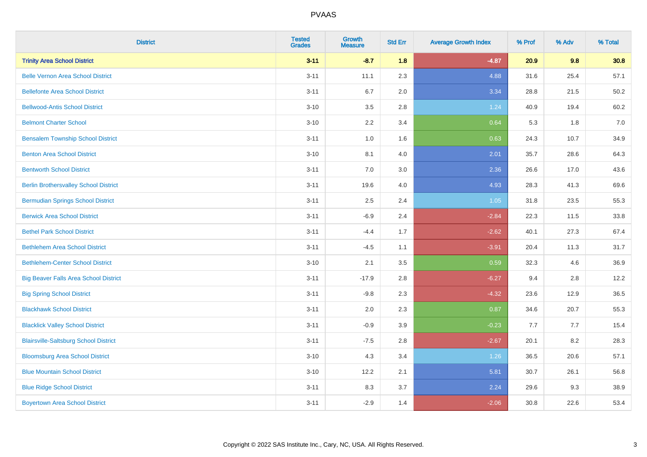| <b>District</b>                              | <b>Tested</b><br><b>Grades</b> | Growth<br><b>Measure</b> | <b>Std Err</b> | <b>Average Growth Index</b> | % Prof | % Adv | % Total |
|----------------------------------------------|--------------------------------|--------------------------|----------------|-----------------------------|--------|-------|---------|
| <b>Trinity Area School District</b>          | $3 - 11$                       | $-8.7$                   | 1.8            | $-4.87$                     | 20.9   | 9.8   | 30.8    |
| <b>Belle Vernon Area School District</b>     | $3 - 11$                       | 11.1                     | 2.3            | 4.88                        | 31.6   | 25.4  | 57.1    |
| <b>Bellefonte Area School District</b>       | $3 - 11$                       | 6.7                      | 2.0            | 3.34                        | 28.8   | 21.5  | 50.2    |
| <b>Bellwood-Antis School District</b>        | $3 - 10$                       | 3.5                      | 2.8            | 1.24                        | 40.9   | 19.4  | 60.2    |
| <b>Belmont Charter School</b>                | $3 - 10$                       | 2.2                      | 3.4            | 0.64                        | 5.3    | 1.8   | 7.0     |
| <b>Bensalem Township School District</b>     | $3 - 11$                       | 1.0                      | 1.6            | 0.63                        | 24.3   | 10.7  | 34.9    |
| <b>Benton Area School District</b>           | $3 - 10$                       | 8.1                      | 4.0            | 2.01                        | 35.7   | 28.6  | 64.3    |
| <b>Bentworth School District</b>             | $3 - 11$                       | 7.0                      | 3.0            | 2.36                        | 26.6   | 17.0  | 43.6    |
| <b>Berlin Brothersvalley School District</b> | $3 - 11$                       | 19.6                     | 4.0            | 4.93                        | 28.3   | 41.3  | 69.6    |
| <b>Bermudian Springs School District</b>     | $3 - 11$                       | $2.5\,$                  | 2.4            | 1.05                        | 31.8   | 23.5  | 55.3    |
| <b>Berwick Area School District</b>          | $3 - 11$                       | $-6.9$                   | 2.4            | $-2.84$                     | 22.3   | 11.5  | 33.8    |
| <b>Bethel Park School District</b>           | $3 - 11$                       | $-4.4$                   | 1.7            | $-2.62$                     | 40.1   | 27.3  | 67.4    |
| <b>Bethlehem Area School District</b>        | $3 - 11$                       | $-4.5$                   | 1.1            | $-3.91$                     | 20.4   | 11.3  | 31.7    |
| <b>Bethlehem-Center School District</b>      | $3 - 10$                       | 2.1                      | 3.5            | 0.59                        | 32.3   | 4.6   | 36.9    |
| <b>Big Beaver Falls Area School District</b> | $3 - 11$                       | $-17.9$                  | 2.8            | $-6.27$                     | 9.4    | 2.8   | 12.2    |
| <b>Big Spring School District</b>            | $3 - 11$                       | $-9.8$                   | 2.3            | $-4.32$                     | 23.6   | 12.9  | 36.5    |
| <b>Blackhawk School District</b>             | $3 - 11$                       | 2.0                      | 2.3            | 0.87                        | 34.6   | 20.7  | 55.3    |
| <b>Blacklick Valley School District</b>      | $3 - 11$                       | $-0.9$                   | 3.9            | $-0.23$                     | 7.7    | 7.7   | 15.4    |
| <b>Blairsville-Saltsburg School District</b> | $3 - 11$                       | $-7.5$                   | 2.8            | $-2.67$                     | 20.1   | 8.2   | 28.3    |
| <b>Bloomsburg Area School District</b>       | $3 - 10$                       | 4.3                      | 3.4            | 1.26                        | 36.5   | 20.6  | 57.1    |
| <b>Blue Mountain School District</b>         | $3 - 10$                       | 12.2                     | 2.1            | 5.81                        | 30.7   | 26.1  | 56.8    |
| <b>Blue Ridge School District</b>            | $3 - 11$                       | 8.3                      | 3.7            | 2.24                        | 29.6   | 9.3   | 38.9    |
| <b>Boyertown Area School District</b>        | $3 - 11$                       | $-2.9$                   | 1.4            | $-2.06$                     | 30.8   | 22.6  | 53.4    |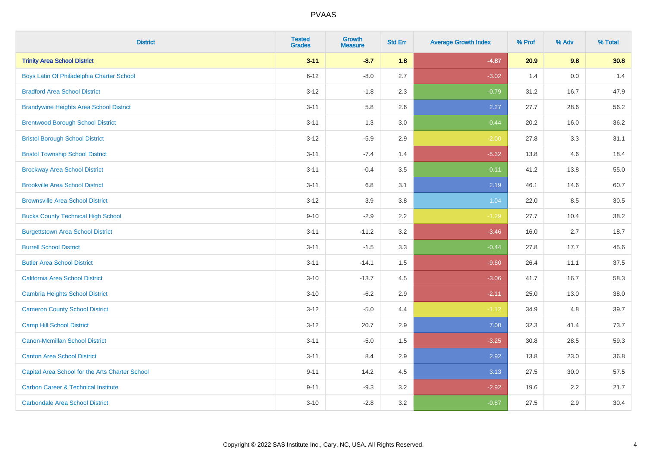| <b>District</b>                                 | <b>Tested</b><br><b>Grades</b> | <b>Growth</b><br><b>Measure</b> | <b>Std Err</b> | <b>Average Growth Index</b> | % Prof | % Adv | % Total |
|-------------------------------------------------|--------------------------------|---------------------------------|----------------|-----------------------------|--------|-------|---------|
| <b>Trinity Area School District</b>             | $3 - 11$                       | $-8.7$                          | 1.8            | $-4.87$                     | 20.9   | 9.8   | 30.8    |
| Boys Latin Of Philadelphia Charter School       | $6 - 12$                       | $-8.0$                          | 2.7            | $-3.02$                     | 1.4    | 0.0   | 1.4     |
| <b>Bradford Area School District</b>            | $3 - 12$                       | $-1.8$                          | 2.3            | $-0.79$                     | 31.2   | 16.7  | 47.9    |
| <b>Brandywine Heights Area School District</b>  | $3 - 11$                       | 5.8                             | 2.6            | 2.27                        | 27.7   | 28.6  | 56.2    |
| <b>Brentwood Borough School District</b>        | $3 - 11$                       | 1.3                             | 3.0            | 0.44                        | 20.2   | 16.0  | 36.2    |
| <b>Bristol Borough School District</b>          | $3 - 12$                       | $-5.9$                          | 2.9            | $-2.00$                     | 27.8   | 3.3   | 31.1    |
| <b>Bristol Township School District</b>         | $3 - 11$                       | $-7.4$                          | 1.4            | $-5.32$                     | 13.8   | 4.6   | 18.4    |
| <b>Brockway Area School District</b>            | $3 - 11$                       | $-0.4$                          | 3.5            | $-0.11$                     | 41.2   | 13.8  | 55.0    |
| <b>Brookville Area School District</b>          | $3 - 11$                       | 6.8                             | 3.1            | 2.19                        | 46.1   | 14.6  | 60.7    |
| <b>Brownsville Area School District</b>         | $3 - 12$                       | 3.9                             | 3.8            | 1.04                        | 22.0   | 8.5   | 30.5    |
| <b>Bucks County Technical High School</b>       | $9 - 10$                       | $-2.9$                          | 2.2            | $-1.29$                     | 27.7   | 10.4  | 38.2    |
| <b>Burgettstown Area School District</b>        | $3 - 11$                       | $-11.2$                         | 3.2            | $-3.46$                     | 16.0   | 2.7   | 18.7    |
| <b>Burrell School District</b>                  | $3 - 11$                       | $-1.5$                          | 3.3            | $-0.44$                     | 27.8   | 17.7  | 45.6    |
| <b>Butler Area School District</b>              | $3 - 11$                       | $-14.1$                         | 1.5            | $-9.60$                     | 26.4   | 11.1  | 37.5    |
| California Area School District                 | $3 - 10$                       | $-13.7$                         | 4.5            | $-3.06$                     | 41.7   | 16.7  | 58.3    |
| <b>Cambria Heights School District</b>          | $3 - 10$                       | $-6.2$                          | 2.9            | $-2.11$                     | 25.0   | 13.0  | 38.0    |
| <b>Cameron County School District</b>           | $3 - 12$                       | $-5.0$                          | 4.4            | $-1.12$                     | 34.9   | 4.8   | 39.7    |
| <b>Camp Hill School District</b>                | $3 - 12$                       | 20.7                            | 2.9            | 7.00                        | 32.3   | 41.4  | 73.7    |
| Canon-Mcmillan School District                  | $3 - 11$                       | $-5.0$                          | 1.5            | $-3.25$                     | 30.8   | 28.5  | 59.3    |
| <b>Canton Area School District</b>              | $3 - 11$                       | 8.4                             | 2.9            | 2.92                        | 13.8   | 23.0  | 36.8    |
| Capital Area School for the Arts Charter School | $9 - 11$                       | 14.2                            | 4.5            | 3.13                        | 27.5   | 30.0  | 57.5    |
| <b>Carbon Career &amp; Technical Institute</b>  | $9 - 11$                       | $-9.3$                          | 3.2            | $-2.92$                     | 19.6   | 2.2   | 21.7    |
| <b>Carbondale Area School District</b>          | $3 - 10$                       | $-2.8$                          | 3.2            | $-0.87$                     | 27.5   | 2.9   | 30.4    |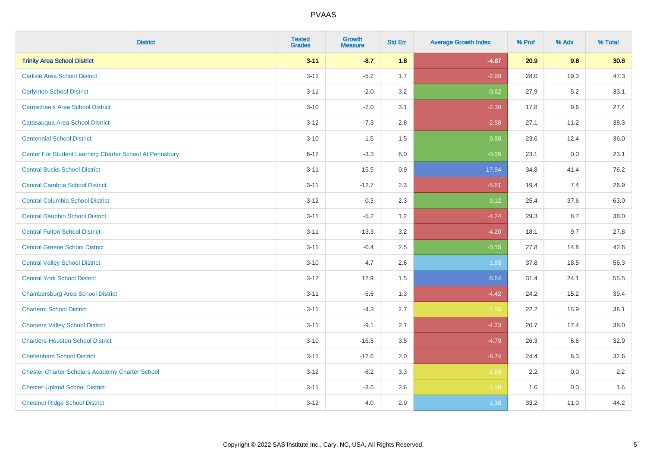| <b>District</b>                                         | <b>Tested</b><br><b>Grades</b> | <b>Growth</b><br><b>Measure</b> | <b>Std Err</b> | <b>Average Growth Index</b> | % Prof | % Adv | % Total |
|---------------------------------------------------------|--------------------------------|---------------------------------|----------------|-----------------------------|--------|-------|---------|
| <b>Trinity Area School District</b>                     | $3 - 11$                       | $-8.7$                          | 1.8            | $-4.87$                     | 20.9   | 9.8   | 30.8    |
| <b>Carlisle Area School District</b>                    | $3 - 11$                       | $-5.2$                          | 1.7            | $-2.99$                     | 28.0   | 19.3  | 47.3    |
| <b>Carlynton School District</b>                        | $3 - 11$                       | $-2.0$                          | 3.2            | $-0.62$                     | 27.9   | 5.2   | 33.1    |
| <b>Carmichaels Area School District</b>                 | $3 - 10$                       | $-7.0$                          | 3.1            | $-2.30$                     | 17.8   | 9.6   | 27.4    |
| Catasauqua Area School District                         | $3 - 12$                       | $-7.3$                          | 2.8            | $-2.58$                     | 27.1   | 11.2  | 38.3    |
| <b>Centennial School District</b>                       | $3 - 10$                       | 1.5                             | 1.5            | 0.98                        | 23.6   | 12.4  | 36.0    |
| Center For Student Learning Charter School At Pennsbury | $6 - 12$                       | $-3.3$                          | 6.0            | $-0.55$                     | 23.1   | 0.0   | 23.1    |
| <b>Central Bucks School District</b>                    | $3 - 11$                       | 15.5                            | 0.9            | 17.94                       | 34.8   | 41.4  | 76.2    |
| <b>Central Cambria School District</b>                  | $3 - 11$                       | $-12.7$                         | 2.3            | $-5.61$                     | 19.4   | 7.4   | 26.9    |
| <b>Central Columbia School District</b>                 | $3 - 12$                       | 0.3                             | 2.3            | 0.12                        | 25.4   | 37.6  | 63.0    |
| <b>Central Dauphin School District</b>                  | $3 - 11$                       | $-5.2$                          | 1.2            | $-4.24$                     | 29.3   | 8.7   | 38.0    |
| <b>Central Fulton School District</b>                   | $3 - 11$                       | $-13.3$                         | 3.2            | $-4.20$                     | 18.1   | 9.7   | 27.8    |
| <b>Central Greene School District</b>                   | $3 - 11$                       | $-0.4$                          | 2.5            | $-0.15$                     | 27.8   | 14.8  | 42.6    |
| <b>Central Valley School District</b>                   | $3 - 10$                       | 4.7                             | 2.6            | 1.83                        | 37.8   | 18.5  | 56.3    |
| <b>Central York School District</b>                     | $3 - 12$                       | 12.9                            | 1.5            | 8.64                        | 31.4   | 24.1  | 55.5    |
| <b>Chambersburg Area School District</b>                | $3 - 11$                       | $-5.6$                          | 1.3            | $-4.42$                     | 24.2   | 15.2  | 39.4    |
| <b>Charleroi School District</b>                        | $3 - 11$                       | $-4.3$                          | 2.7            | $-1.55$                     | 22.2   | 15.9  | 38.1    |
| <b>Chartiers Valley School District</b>                 | $3 - 11$                       | $-9.1$                          | 2.1            | $-4.23$                     | 20.7   | 17.4  | 38.0    |
| <b>Chartiers-Houston School District</b>                | $3 - 10$                       | $-16.5$                         | 3.5            | $-4.79$                     | 26.3   | 6.6   | 32.9    |
| <b>Cheltenham School District</b>                       | $3 - 11$                       | $-17.6$                         | 2.0            | $-8.74$                     | 24.4   | 8.3   | 32.6    |
| <b>Chester Charter Scholars Academy Charter School</b>  | $3 - 12$                       | $-6.2$                          | 3.3            | $-1.88$                     | 2.2    | 0.0   | 2.2     |
| <b>Chester-Upland School District</b>                   | $3 - 11$                       | $-3.6$                          | 2.6            | $-1.38$                     | 1.6    | 0.0   | 1.6     |
| <b>Chestnut Ridge School District</b>                   | $3 - 12$                       | 4.0                             | 2.9            | 1.38                        | 33.2   | 11.0  | 44.2    |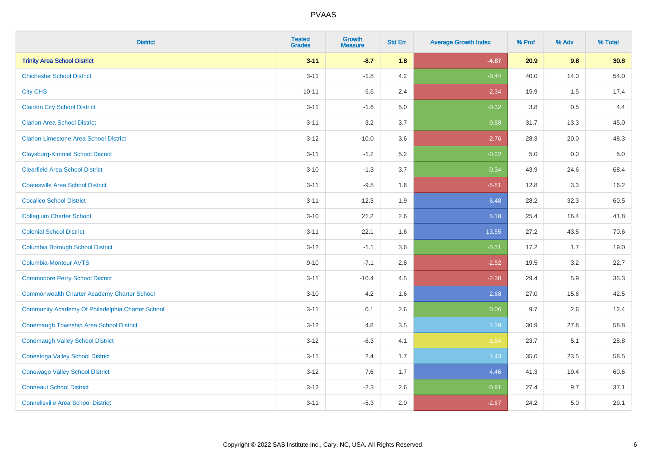| <b>District</b>                                    | <b>Tested</b><br><b>Grades</b> | Growth<br><b>Measure</b> | <b>Std Err</b> | <b>Average Growth Index</b> | % Prof  | % Adv | % Total |
|----------------------------------------------------|--------------------------------|--------------------------|----------------|-----------------------------|---------|-------|---------|
| <b>Trinity Area School District</b>                | $3 - 11$                       | $-8.7$                   | 1.8            | $-4.87$                     | 20.9    | 9.8   | 30.8    |
| <b>Chichester School District</b>                  | $3 - 11$                       | $-1.8$                   | 4.2            | $-0.44$                     | 40.0    | 14.0  | 54.0    |
| <b>City CHS</b>                                    | $10 - 11$                      | $-5.6$                   | 2.4            | $-2.34$                     | 15.9    | 1.5   | 17.4    |
| <b>Clairton City School District</b>               | $3 - 11$                       | $-1.6$                   | 5.0            | $-0.32$                     | $3.8\,$ | 0.5   | 4.4     |
| <b>Clarion Area School District</b>                | $3 - 11$                       | 3.2                      | 3.7            | 0.88                        | 31.7    | 13.3  | 45.0    |
| <b>Clarion-Limestone Area School District</b>      | $3 - 12$                       | $-10.0$                  | 3.6            | $-2.76$                     | 28.3    | 20.0  | 48.3    |
| <b>Claysburg-Kimmel School District</b>            | $3 - 11$                       | $-1.2$                   | 5.2            | $-0.22$                     | 5.0     | 0.0   | $5.0$   |
| <b>Clearfield Area School District</b>             | $3 - 10$                       | $-1.3$                   | 3.7            | $-0.34$                     | 43.9    | 24.6  | 68.4    |
| <b>Coatesville Area School District</b>            | $3 - 11$                       | $-9.5$                   | 1.6            | $-5.81$                     | 12.8    | 3.3   | 16.2    |
| <b>Cocalico School District</b>                    | $3 - 11$                       | 12.3                     | 1.9            | 6.48                        | 28.2    | 32.3  | 60.5    |
| <b>Collegium Charter School</b>                    | $3 - 10$                       | 21.2                     | 2.6            | 8.18                        | 25.4    | 16.4  | 41.8    |
| <b>Colonial School District</b>                    | $3 - 11$                       | 22.1                     | 1.6            | 13.55                       | 27.2    | 43.5  | 70.6    |
| <b>Columbia Borough School District</b>            | $3 - 12$                       | $-1.1$                   | 3.6            | $-0.31$                     | 17.2    | 1.7   | 19.0    |
| Columbia-Montour AVTS                              | $9 - 10$                       | $-7.1$                   | 2.8            | $-2.52$                     | 19.5    | 3.2   | 22.7    |
| <b>Commodore Perry School District</b>             | $3 - 11$                       | $-10.4$                  | 4.5            | $-2.30$                     | 29.4    | 5.9   | 35.3    |
| <b>Commonwealth Charter Academy Charter School</b> | $3 - 10$                       | 4.2                      | 1.6            | 2.68                        | 27.0    | 15.6  | 42.5    |
| Community Academy Of Philadelphia Charter School   | $3 - 11$                       | 0.1                      | 2.6            | 0.06                        | 9.7     | 2.6   | 12.4    |
| Conemaugh Township Area School District            | $3 - 12$                       | 4.8                      | 3.5            | 1.39                        | 30.9    | 27.8  | 58.8    |
| <b>Conemaugh Valley School District</b>            | $3 - 12$                       | $-6.3$                   | 4.1            | $-1.54$                     | 23.7    | 5.1   | 28.8    |
| <b>Conestoga Valley School District</b>            | $3 - 11$                       | 2.4                      | 1.7            | 1.43                        | 35.0    | 23.5  | 58.5    |
| <b>Conewago Valley School District</b>             | $3 - 12$                       | 7.6                      | 1.7            | 4.46                        | 41.3    | 19.4  | 60.6    |
| <b>Conneaut School District</b>                    | $3 - 12$                       | $-2.3$                   | 2.6            | $-0.91$                     | 27.4    | 9.7   | 37.1    |
| <b>Connellsville Area School District</b>          | $3 - 11$                       | $-5.3$                   | 2.0            | $-2.67$                     | 24.2    | 5.0   | 29.1    |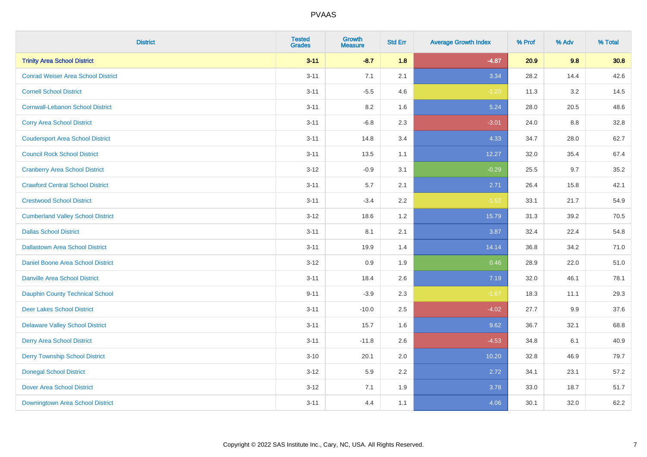| <b>District</b>                           | <b>Tested</b><br><b>Grades</b> | Growth<br><b>Measure</b> | <b>Std Err</b> | <b>Average Growth Index</b> | % Prof | % Adv | % Total |
|-------------------------------------------|--------------------------------|--------------------------|----------------|-----------------------------|--------|-------|---------|
| <b>Trinity Area School District</b>       | $3 - 11$                       | $-8.7$                   | 1.8            | $-4.87$                     | 20.9   | 9.8   | 30.8    |
| <b>Conrad Weiser Area School District</b> | $3 - 11$                       | 7.1                      | 2.1            | 3.34                        | 28.2   | 14.4  | 42.6    |
| <b>Cornell School District</b>            | $3 - 11$                       | $-5.5$                   | 4.6            | $-1.20$                     | 11.3   | 3.2   | 14.5    |
| <b>Cornwall-Lebanon School District</b>   | $3 - 11$                       | $8.2\,$                  | 1.6            | 5.24                        | 28.0   | 20.5  | 48.6    |
| <b>Corry Area School District</b>         | $3 - 11$                       | $-6.8$                   | 2.3            | $-3.01$                     | 24.0   | 8.8   | 32.8    |
| <b>Coudersport Area School District</b>   | $3 - 11$                       | 14.8                     | 3.4            | 4.33                        | 34.7   | 28.0  | 62.7    |
| <b>Council Rock School District</b>       | $3 - 11$                       | 13.5                     | 1.1            | 12.27                       | 32.0   | 35.4  | 67.4    |
| <b>Cranberry Area School District</b>     | $3 - 12$                       | $-0.9$                   | 3.1            | $-0.29$                     | 25.5   | 9.7   | 35.2    |
| <b>Crawford Central School District</b>   | $3 - 11$                       | 5.7                      | 2.1            | 2.71                        | 26.4   | 15.8  | 42.1    |
| <b>Crestwood School District</b>          | $3 - 11$                       | $-3.4$                   | $2.2\,$        | $-1.52$                     | 33.1   | 21.7  | 54.9    |
| <b>Cumberland Valley School District</b>  | $3 - 12$                       | 18.6                     | 1.2            | 15.79                       | 31.3   | 39.2  | 70.5    |
| <b>Dallas School District</b>             | $3 - 11$                       | 8.1                      | 2.1            | 3.87                        | 32.4   | 22.4  | 54.8    |
| <b>Dallastown Area School District</b>    | $3 - 11$                       | 19.9                     | 1.4            | 14.14                       | 36.8   | 34.2  | 71.0    |
| Daniel Boone Area School District         | $3 - 12$                       | 0.9                      | 1.9            | 0.46                        | 28.9   | 22.0  | 51.0    |
| <b>Danville Area School District</b>      | $3 - 11$                       | 18.4                     | 2.6            | 7.19                        | 32.0   | 46.1  | 78.1    |
| <b>Dauphin County Technical School</b>    | $9 - 11$                       | $-3.9$                   | 2.3            | $-1.67$                     | 18.3   | 11.1  | 29.3    |
| <b>Deer Lakes School District</b>         | $3 - 11$                       | $-10.0$                  | 2.5            | $-4.02$                     | 27.7   | 9.9   | 37.6    |
| <b>Delaware Valley School District</b>    | $3 - 11$                       | 15.7                     | 1.6            | 9.62                        | 36.7   | 32.1  | 68.8    |
| <b>Derry Area School District</b>         | $3 - 11$                       | $-11.8$                  | 2.6            | $-4.53$                     | 34.8   | 6.1   | 40.9    |
| <b>Derry Township School District</b>     | $3 - 10$                       | 20.1                     | 2.0            | 10.20                       | 32.8   | 46.9  | 79.7    |
| <b>Donegal School District</b>            | $3 - 12$                       | 5.9                      | 2.2            | 2.72                        | 34.1   | 23.1  | 57.2    |
| <b>Dover Area School District</b>         | $3 - 12$                       | 7.1                      | 1.9            | 3.78                        | 33.0   | 18.7  | 51.7    |
| Downingtown Area School District          | $3 - 11$                       | 4.4                      | 1.1            | 4.06                        | 30.1   | 32.0  | 62.2    |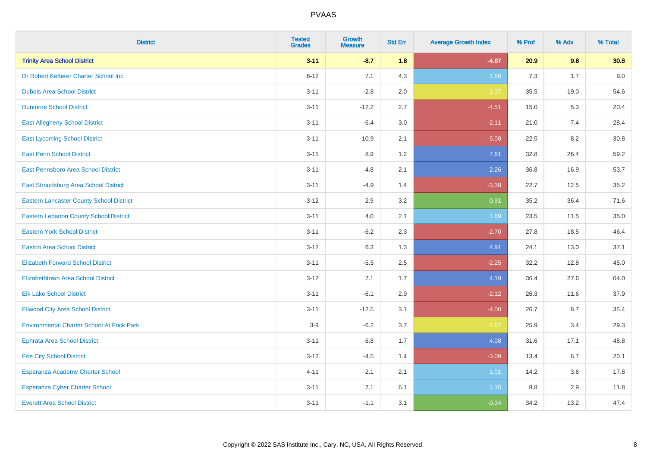| <b>District</b>                                   | <b>Tested</b><br><b>Grades</b> | <b>Growth</b><br><b>Measure</b> | <b>Std Err</b> | <b>Average Growth Index</b> | % Prof | % Adv | % Total |
|---------------------------------------------------|--------------------------------|---------------------------------|----------------|-----------------------------|--------|-------|---------|
| <b>Trinity Area School District</b>               | $3 - 11$                       | $-8.7$                          | 1.8            | $-4.87$                     | 20.9   | 9.8   | 30.8    |
| Dr Robert Ketterer Charter School Inc             | $6 - 12$                       | 7.1                             | 4.3            | 1.66                        | 7.3    | 1.7   | 9.0     |
| <b>Dubois Area School District</b>                | $3 - 11$                       | $-2.8$                          | 2.0            | $-1.37$                     | 35.5   | 19.0  | 54.6    |
| <b>Dunmore School District</b>                    | $3 - 11$                       | $-12.2$                         | 2.7            | $-4.51$                     | 15.0   | 5.3   | 20.4    |
| <b>East Allegheny School District</b>             | $3 - 11$                       | $-6.4$                          | 3.0            | $-2.11$                     | 21.0   | 7.4   | 28.4    |
| <b>East Lycoming School District</b>              | $3 - 11$                       | $-10.9$                         | 2.1            | $-5.08$                     | 22.5   | 8.2   | 30.8    |
| <b>East Penn School District</b>                  | $3 - 11$                       | 8.9                             | 1.2            | 7.61                        | 32.8   | 26.4  | 59.2    |
| East Pennsboro Area School District               | $3 - 11$                       | 4.8                             | 2.1            | 2.26                        | 36.8   | 16.9  | 53.7    |
| East Stroudsburg Area School District             | $3 - 11$                       | $-4.9$                          | 1.4            | $-3.38$                     | 22.7   | 12.5  | 35.2    |
| <b>Eastern Lancaster County School District</b>   | $3 - 12$                       | 2.9                             | 3.2            | 0.91                        | 35.2   | 36.4  | 71.6    |
| Eastern Lebanon County School District            | $3 - 11$                       | 4.0                             | 2.1            | 1.89                        | 23.5   | 11.5  | 35.0    |
| <b>Eastern York School District</b>               | $3 - 11$                       | $-6.2$                          | 2.3            | $-2.70$                     | 27.8   | 18.5  | 46.4    |
| <b>Easton Area School District</b>                | $3 - 12$                       | 6.3                             | 1.3            | 4.91                        | 24.1   | 13.0  | 37.1    |
| <b>Elizabeth Forward School District</b>          | $3 - 11$                       | $-5.5$                          | 2.5            | $-2.25$                     | 32.2   | 12.8  | 45.0    |
| <b>Elizabethtown Area School District</b>         | $3 - 12$                       | 7.1                             | 1.7            | 4.19                        | 36.4   | 27.6  | 64.0    |
| <b>Elk Lake School District</b>                   | $3 - 11$                       | $-6.1$                          | 2.9            | $-2.12$                     | 26.3   | 11.6  | 37.9    |
| <b>Ellwood City Area School District</b>          | $3 - 11$                       | $-12.5$                         | 3.1            | $-4.00$                     | 26.7   | 8.7   | 35.4    |
| <b>Environmental Charter School At Frick Park</b> | $3-9$                          | $-6.2$                          | 3.7            | $-1.67$                     | 25.9   | 3.4   | 29.3    |
| <b>Ephrata Area School District</b>               | $3 - 11$                       | $6.8\,$                         | 1.7            | 4.08                        | 31.6   | 17.1  | 48.8    |
| <b>Erie City School District</b>                  | $3 - 12$                       | $-4.5$                          | 1.4            | $-3.09$                     | 13.4   | 6.7   | 20.1    |
| Esperanza Academy Charter School                  | $4 - 11$                       | 2.1                             | 2.1            | 1.01                        | 14.2   | 3.6   | 17.8    |
| <b>Esperanza Cyber Charter School</b>             | $3 - 11$                       | 7.1                             | 6.1            | $1.15$                      | 8.8    | 2.9   | 11.8    |
| <b>Everett Area School District</b>               | $3 - 11$                       | $-1.1$                          | 3.1            | $-0.34$                     | 34.2   | 13.2  | 47.4    |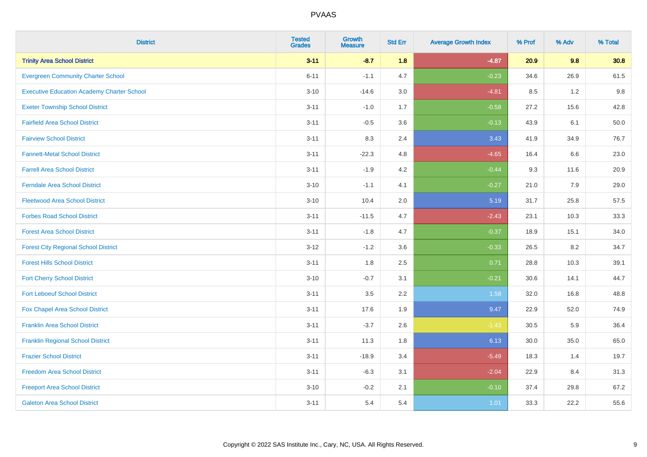| <b>District</b>                                   | <b>Tested</b><br><b>Grades</b> | Growth<br><b>Measure</b> | <b>Std Err</b> | <b>Average Growth Index</b> | % Prof | % Adv   | % Total |
|---------------------------------------------------|--------------------------------|--------------------------|----------------|-----------------------------|--------|---------|---------|
| <b>Trinity Area School District</b>               | $3 - 11$                       | $-8.7$                   | 1.8            | $-4.87$                     | 20.9   | 9.8     | 30.8    |
| <b>Evergreen Community Charter School</b>         | $6 - 11$                       | $-1.1$                   | 4.7            | $-0.23$                     | 34.6   | 26.9    | 61.5    |
| <b>Executive Education Academy Charter School</b> | $3 - 10$                       | $-14.6$                  | 3.0            | $-4.81$                     | 8.5    | 1.2     | 9.8     |
| <b>Exeter Township School District</b>            | $3 - 11$                       | $-1.0$                   | 1.7            | $-0.58$                     | 27.2   | 15.6    | 42.8    |
| <b>Fairfield Area School District</b>             | $3 - 11$                       | $-0.5$                   | 3.6            | $-0.13$                     | 43.9   | 6.1     | 50.0    |
| <b>Fairview School District</b>                   | $3 - 11$                       | 8.3                      | 2.4            | 3.43                        | 41.9   | 34.9    | 76.7    |
| <b>Fannett-Metal School District</b>              | $3 - 11$                       | $-22.3$                  | 4.8            | $-4.65$                     | 16.4   | 6.6     | 23.0    |
| <b>Farrell Area School District</b>               | $3 - 11$                       | $-1.9$                   | 4.2            | $-0.44$                     | 9.3    | 11.6    | 20.9    |
| <b>Ferndale Area School District</b>              | $3 - 10$                       | $-1.1$                   | 4.1            | $-0.27$                     | 21.0   | 7.9     | 29.0    |
| <b>Fleetwood Area School District</b>             | $3 - 10$                       | 10.4                     | 2.0            | 5.19                        | 31.7   | 25.8    | 57.5    |
| <b>Forbes Road School District</b>                | $3 - 11$                       | $-11.5$                  | 4.7            | $-2.43$                     | 23.1   | 10.3    | 33.3    |
| <b>Forest Area School District</b>                | $3 - 11$                       | $-1.8$                   | 4.7            | $-0.37$                     | 18.9   | 15.1    | 34.0    |
| <b>Forest City Regional School District</b>       | $3 - 12$                       | $-1.2$                   | 3.6            | $-0.33$                     | 26.5   | $8.2\,$ | 34.7    |
| <b>Forest Hills School District</b>               | $3 - 11$                       | 1.8                      | 2.5            | 0.71                        | 28.8   | 10.3    | 39.1    |
| <b>Fort Cherry School District</b>                | $3 - 10$                       | $-0.7$                   | 3.1            | $-0.21$                     | 30.6   | 14.1    | 44.7    |
| <b>Fort Leboeuf School District</b>               | $3 - 11$                       | 3.5                      | 2.2            | 1.58                        | 32.0   | 16.8    | 48.8    |
| Fox Chapel Area School District                   | $3 - 11$                       | 17.6                     | 1.9            | 9.47                        | 22.9   | 52.0    | 74.9    |
| <b>Franklin Area School District</b>              | $3 - 11$                       | $-3.7$                   | 2.6            | $-1.43$                     | 30.5   | 5.9     | 36.4    |
| <b>Franklin Regional School District</b>          | $3 - 11$                       | 11.3                     | 1.8            | 6.13                        | 30.0   | 35.0    | 65.0    |
| <b>Frazier School District</b>                    | $3 - 11$                       | $-18.9$                  | 3.4            | $-5.49$                     | 18.3   | 1.4     | 19.7    |
| <b>Freedom Area School District</b>               | $3 - 11$                       | $-6.3$                   | 3.1            | $-2.04$                     | 22.9   | 8.4     | 31.3    |
| <b>Freeport Area School District</b>              | $3 - 10$                       | $-0.2$                   | 2.1            | $-0.10$                     | 37.4   | 29.8    | 67.2    |
| <b>Galeton Area School District</b>               | $3 - 11$                       | 5.4                      | 5.4            | 1.01                        | 33.3   | 22.2    | 55.6    |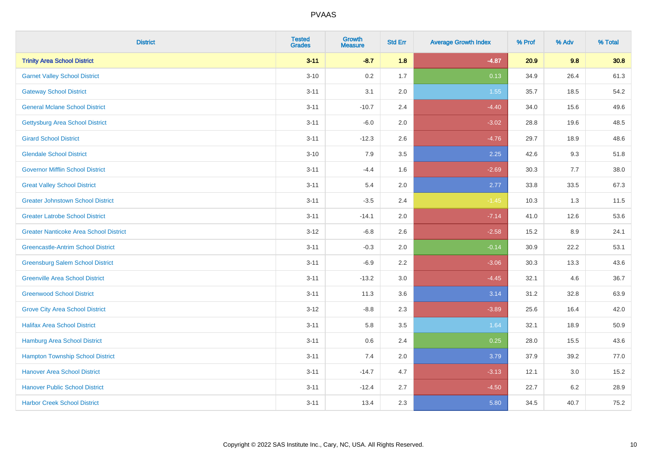| <b>District</b>                               | <b>Tested</b><br><b>Grades</b> | Growth<br><b>Measure</b> | <b>Std Err</b> | <b>Average Growth Index</b> | % Prof | % Adv   | % Total |
|-----------------------------------------------|--------------------------------|--------------------------|----------------|-----------------------------|--------|---------|---------|
| <b>Trinity Area School District</b>           | $3 - 11$                       | $-8.7$                   | 1.8            | $-4.87$                     | 20.9   | 9.8     | 30.8    |
| <b>Garnet Valley School District</b>          | $3 - 10$                       | 0.2                      | 1.7            | 0.13                        | 34.9   | 26.4    | 61.3    |
| <b>Gateway School District</b>                | $3 - 11$                       | 3.1                      | 2.0            | 1.55                        | 35.7   | 18.5    | 54.2    |
| <b>General Mclane School District</b>         | $3 - 11$                       | $-10.7$                  | 2.4            | $-4.40$                     | 34.0   | 15.6    | 49.6    |
| <b>Gettysburg Area School District</b>        | $3 - 11$                       | $-6.0$                   | 2.0            | $-3.02$                     | 28.8   | 19.6    | 48.5    |
| <b>Girard School District</b>                 | $3 - 11$                       | $-12.3$                  | 2.6            | $-4.76$                     | 29.7   | 18.9    | 48.6    |
| <b>Glendale School District</b>               | $3 - 10$                       | 7.9                      | 3.5            | 2.25                        | 42.6   | 9.3     | 51.8    |
| <b>Governor Mifflin School District</b>       | $3 - 11$                       | $-4.4$                   | 1.6            | $-2.69$                     | 30.3   | $7.7$   | 38.0    |
| <b>Great Valley School District</b>           | $3 - 11$                       | 5.4                      | 2.0            | 2.77                        | 33.8   | 33.5    | 67.3    |
| <b>Greater Johnstown School District</b>      | $3 - 11$                       | $-3.5$                   | 2.4            | $-1.45$                     | 10.3   | 1.3     | 11.5    |
| <b>Greater Latrobe School District</b>        | $3 - 11$                       | $-14.1$                  | 2.0            | $-7.14$                     | 41.0   | 12.6    | 53.6    |
| <b>Greater Nanticoke Area School District</b> | $3-12$                         | $-6.8$                   | 2.6            | $-2.58$                     | 15.2   | 8.9     | 24.1    |
| <b>Greencastle-Antrim School District</b>     | $3 - 11$                       | $-0.3$                   | 2.0            | $-0.14$                     | 30.9   | 22.2    | 53.1    |
| <b>Greensburg Salem School District</b>       | $3 - 11$                       | $-6.9$                   | 2.2            | $-3.06$                     | 30.3   | 13.3    | 43.6    |
| <b>Greenville Area School District</b>        | $3 - 11$                       | $-13.2$                  | $3.0\,$        | $-4.45$                     | 32.1   | 4.6     | 36.7    |
| <b>Greenwood School District</b>              | $3 - 11$                       | 11.3                     | 3.6            | 3.14                        | 31.2   | 32.8    | 63.9    |
| <b>Grove City Area School District</b>        | $3 - 12$                       | $-8.8$                   | 2.3            | $-3.89$                     | 25.6   | 16.4    | 42.0    |
| <b>Halifax Area School District</b>           | $3 - 11$                       | 5.8                      | 3.5            | 1.64                        | 32.1   | 18.9    | 50.9    |
| <b>Hamburg Area School District</b>           | $3 - 11$                       | 0.6                      | 2.4            | 0.25                        | 28.0   | 15.5    | 43.6    |
| <b>Hampton Township School District</b>       | $3 - 11$                       | 7.4                      | 2.0            | 3.79                        | 37.9   | 39.2    | 77.0    |
| <b>Hanover Area School District</b>           | $3 - 11$                       | $-14.7$                  | 4.7            | $-3.13$                     | 12.1   | 3.0     | 15.2    |
| <b>Hanover Public School District</b>         | $3 - 11$                       | $-12.4$                  | 2.7            | $-4.50$                     | 22.7   | $6.2\,$ | 28.9    |
| <b>Harbor Creek School District</b>           | $3 - 11$                       | 13.4                     | 2.3            | 5.80                        | 34.5   | 40.7    | 75.2    |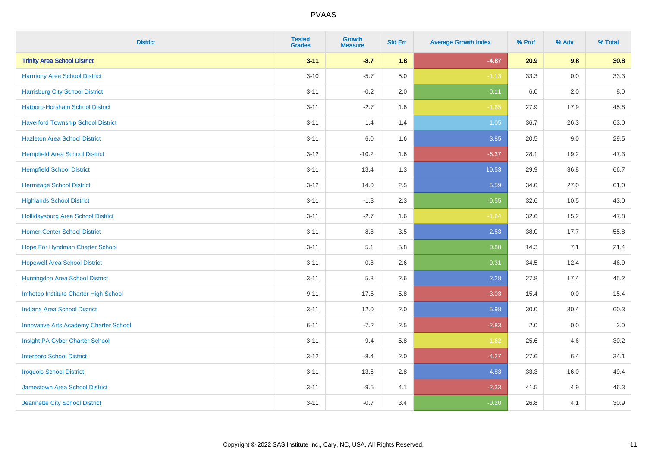| <b>District</b>                               | <b>Tested</b><br><b>Grades</b> | <b>Growth</b><br><b>Measure</b> | <b>Std Err</b> | <b>Average Growth Index</b> | % Prof | % Adv   | % Total |
|-----------------------------------------------|--------------------------------|---------------------------------|----------------|-----------------------------|--------|---------|---------|
| <b>Trinity Area School District</b>           | $3 - 11$                       | $-8.7$                          | 1.8            | $-4.87$                     | 20.9   | 9.8     | 30.8    |
| Harmony Area School District                  | $3 - 10$                       | $-5.7$                          | 5.0            | $-1.13$                     | 33.3   | 0.0     | 33.3    |
| <b>Harrisburg City School District</b>        | $3 - 11$                       | $-0.2$                          | 2.0            | $-0.11$                     | 6.0    | 2.0     | 8.0     |
| <b>Hatboro-Horsham School District</b>        | $3 - 11$                       | $-2.7$                          | 1.6            | $-1.65$                     | 27.9   | 17.9    | 45.8    |
| <b>Haverford Township School District</b>     | $3 - 11$                       | 1.4                             | 1.4            | 1.05                        | 36.7   | 26.3    | 63.0    |
| <b>Hazleton Area School District</b>          | $3 - 11$                       | 6.0                             | 1.6            | 3.85                        | 20.5   | $9.0\,$ | 29.5    |
| <b>Hempfield Area School District</b>         | $3 - 12$                       | $-10.2$                         | 1.6            | $-6.37$                     | 28.1   | 19.2    | 47.3    |
| <b>Hempfield School District</b>              | $3 - 11$                       | 13.4                            | 1.3            | 10.53                       | 29.9   | 36.8    | 66.7    |
| <b>Hermitage School District</b>              | $3-12$                         | 14.0                            | 2.5            | 5.59                        | 34.0   | 27.0    | 61.0    |
| <b>Highlands School District</b>              | $3 - 11$                       | $-1.3$                          | 2.3            | $-0.55$                     | 32.6   | 10.5    | 43.0    |
| <b>Hollidaysburg Area School District</b>     | $3 - 11$                       | $-2.7$                          | 1.6            | $-1.64$                     | 32.6   | 15.2    | 47.8    |
| <b>Homer-Center School District</b>           | $3 - 11$                       | 8.8                             | 3.5            | 2.53                        | 38.0   | 17.7    | 55.8    |
| Hope For Hyndman Charter School               | $3 - 11$                       | 5.1                             | 5.8            | 0.88                        | 14.3   | 7.1     | 21.4    |
| <b>Hopewell Area School District</b>          | $3 - 11$                       | 0.8                             | 2.6            | 0.31                        | 34.5   | 12.4    | 46.9    |
| Huntingdon Area School District               | $3 - 11$                       | 5.8                             | 2.6            | 2.28                        | 27.8   | 17.4    | 45.2    |
| Imhotep Institute Charter High School         | $9 - 11$                       | $-17.6$                         | 5.8            | $-3.03$                     | 15.4   | 0.0     | 15.4    |
| <b>Indiana Area School District</b>           | $3 - 11$                       | 12.0                            | 2.0            | 5.98                        | 30.0   | 30.4    | 60.3    |
| <b>Innovative Arts Academy Charter School</b> | $6 - 11$                       | $-7.2$                          | 2.5            | $-2.83$                     | 2.0    | 0.0     | 2.0     |
| Insight PA Cyber Charter School               | $3 - 11$                       | $-9.4$                          | 5.8            | $-1.62$                     | 25.6   | 4.6     | 30.2    |
| <b>Interboro School District</b>              | $3-12$                         | $-8.4$                          | 2.0            | $-4.27$                     | 27.6   | 6.4     | 34.1    |
| <b>Iroquois School District</b>               | $3 - 11$                       | 13.6                            | 2.8            | 4.83                        | 33.3   | 16.0    | 49.4    |
| <b>Jamestown Area School District</b>         | $3 - 11$                       | $-9.5$                          | 4.1            | $-2.33$                     | 41.5   | 4.9     | 46.3    |
| Jeannette City School District                | $3 - 11$                       | $-0.7$                          | 3.4            | $-0.20$                     | 26.8   | 4.1     | 30.9    |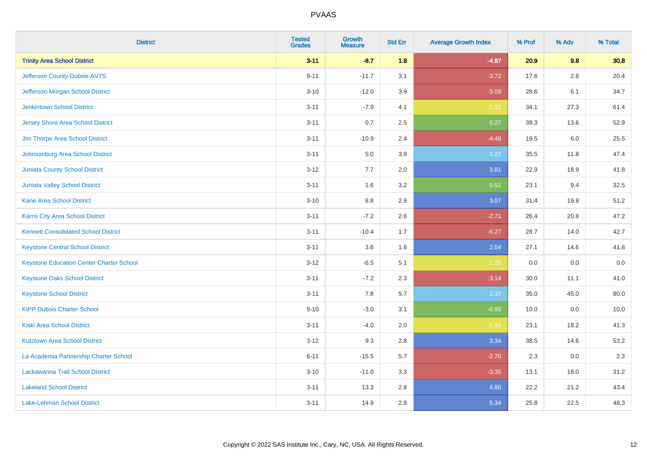| <b>District</b>                                 | <b>Tested</b><br><b>Grades</b> | Growth<br><b>Measure</b> | <b>Std Err</b> | <b>Average Growth Index</b> | % Prof | % Adv   | % Total |
|-------------------------------------------------|--------------------------------|--------------------------|----------------|-----------------------------|--------|---------|---------|
| <b>Trinity Area School District</b>             | $3 - 11$                       | $-8.7$                   | 1.8            | $-4.87$                     | 20.9   | 9.8     | 30.8    |
| Jefferson County-Dubois AVTS                    | $9 - 11$                       | $-11.7$                  | 3.1            | $-3.72$                     | 17.6   | $2.8\,$ | 20.4    |
| Jefferson-Morgan School District                | $3 - 10$                       | $-12.0$                  | 3.9            | $-3.09$                     | 28.6   | 6.1     | 34.7    |
| <b>Jenkintown School District</b>               | $3 - 11$                       | $-7.9$                   | 4.1            | $-1.92$                     | 34.1   | 27.3    | 61.4    |
| <b>Jersey Shore Area School District</b>        | $3 - 11$                       | 0.7                      | 2.5            | 0.27                        | 39.3   | 13.6    | 52.9    |
| Jim Thorpe Area School District                 | $3 - 11$                       | $-10.9$                  | 2.4            | $-4.48$                     | 19.5   | 6.0     | 25.5    |
| Johnsonburg Area School District                | $3 - 11$                       | 5.0                      | 3.9            | 1.27                        | 35.5   | 11.8    | 47.4    |
| <b>Juniata County School District</b>           | $3 - 12$                       | $7.7\,$                  | 2.0            | 3.81                        | 22.9   | 18.9    | 41.8    |
| Juniata Valley School District                  | $3 - 11$                       | 1.6                      | 3.2            | 0.51                        | 23.1   | 9.4     | 32.5    |
| <b>Kane Area School District</b>                | $3 - 10$                       | 8.8                      | 2.9            | 3.07                        | 31.4   | 19.8    | 51.2    |
| <b>Karns City Area School District</b>          | $3 - 11$                       | $-7.2$                   | 2.6            | $-2.71$                     | 26.4   | 20.8    | 47.2    |
| <b>Kennett Consolidated School District</b>     | $3 - 11$                       | $-10.4$                  | 1.7            | $-6.27$                     | 28.7   | 14.0    | 42.7    |
| <b>Keystone Central School District</b>         | $3 - 11$                       | 3.6                      | 1.8            | 2.04                        | 27.1   | 14.6    | 41.8    |
| <b>Keystone Education Center Charter School</b> | $3 - 12$                       | $-6.5$                   | 5.1            | $-1.28$                     | 0.0    | 0.0     | $0.0\,$ |
| <b>Keystone Oaks School District</b>            | $3 - 11$                       | $-7.2$                   | 2.3            | $-3.14$                     | 30.0   | 11.1    | 41.0    |
| <b>Keystone School District</b>                 | $3 - 11$                       | 7.8                      | 5.7            | 1.37                        | 35.0   | 45.0    | 80.0    |
| <b>KIPP Dubois Charter School</b>               | $9 - 10$                       | $-3.0$                   | 3.1            | $-0.95$                     | 10.0   | 0.0     | 10.0    |
| <b>Kiski Area School District</b>               | $3 - 11$                       | $-4.0$                   | 2.0            | $-1.99$                     | 23.1   | 18.2    | 41.3    |
| <b>Kutztown Area School District</b>            | $3 - 12$                       | 9.3                      | 2.8            | 3.34                        | 38.5   | 14.6    | 53.2    |
| La Academia Partnership Charter School          | $6 - 11$                       | $-15.5$                  | 5.7            | $-2.70$                     | 2.3    | 0.0     | 2.3     |
| Lackawanna Trail School District                | $3 - 10$                       | $-11.0$                  | 3.3            | $-3.35$                     | 13.1   | 18.0    | 31.2    |
| <b>Lakeland School District</b>                 | $3 - 11$                       | 13.3                     | 2.8            | 4.80                        | 22.2   | 21.2    | 43.4    |
| Lake-Lehman School District                     | $3 - 11$                       | 14.9                     | 2.8            | 5.34                        | 25.8   | 22.5    | 48.3    |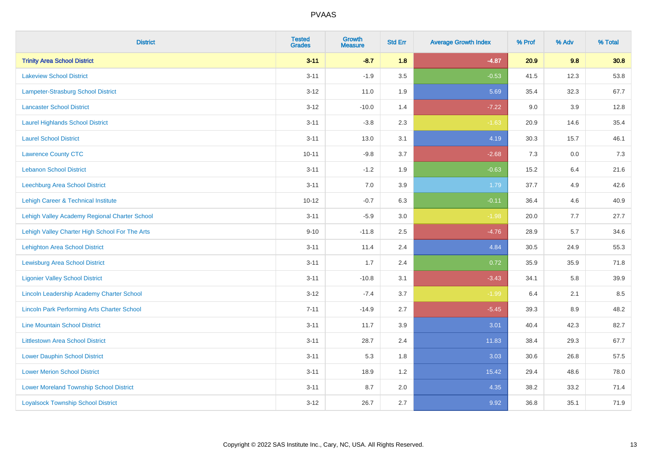| <b>District</b>                                    | <b>Tested</b><br><b>Grades</b> | Growth<br><b>Measure</b> | <b>Std Err</b> | <b>Average Growth Index</b> | % Prof | % Adv | % Total |
|----------------------------------------------------|--------------------------------|--------------------------|----------------|-----------------------------|--------|-------|---------|
| <b>Trinity Area School District</b>                | $3 - 11$                       | $-8.7$                   | 1.8            | $-4.87$                     | 20.9   | 9.8   | 30.8    |
| <b>Lakeview School District</b>                    | $3 - 11$                       | $-1.9$                   | 3.5            | $-0.53$                     | 41.5   | 12.3  | 53.8    |
| Lampeter-Strasburg School District                 | $3 - 12$                       | 11.0                     | 1.9            | 5.69                        | 35.4   | 32.3  | 67.7    |
| <b>Lancaster School District</b>                   | $3 - 12$                       | $-10.0$                  | 1.4            | $-7.22$                     | 9.0    | 3.9   | 12.8    |
| <b>Laurel Highlands School District</b>            | $3 - 11$                       | $-3.8$                   | 2.3            | $-1.63$                     | 20.9   | 14.6  | 35.4    |
| <b>Laurel School District</b>                      | $3 - 11$                       | 13.0                     | 3.1            | 4.19                        | 30.3   | 15.7  | 46.1    |
| <b>Lawrence County CTC</b>                         | $10 - 11$                      | $-9.8$                   | 3.7            | $-2.68$                     | 7.3    | 0.0   | 7.3     |
| <b>Lebanon School District</b>                     | $3 - 11$                       | $-1.2$                   | 1.9            | $-0.63$                     | 15.2   | 6.4   | 21.6    |
| Leechburg Area School District                     | $3 - 11$                       | 7.0                      | 3.9            | 1.79                        | 37.7   | 4.9   | 42.6    |
| Lehigh Career & Technical Institute                | $10 - 12$                      | $-0.7$                   | 6.3            | $-0.11$                     | 36.4   | 4.6   | 40.9    |
| Lehigh Valley Academy Regional Charter School      | $3 - 11$                       | $-5.9$                   | 3.0            | $-1.98$                     | 20.0   | 7.7   | 27.7    |
| Lehigh Valley Charter High School For The Arts     | $9 - 10$                       | $-11.8$                  | 2.5            | $-4.76$                     | 28.9   | 5.7   | 34.6    |
| Lehighton Area School District                     | $3 - 11$                       | 11.4                     | 2.4            | 4.84                        | 30.5   | 24.9  | 55.3    |
| Lewisburg Area School District                     | $3 - 11$                       | 1.7                      | 2.4            | 0.72                        | 35.9   | 35.9  | 71.8    |
| <b>Ligonier Valley School District</b>             | $3 - 11$                       | $-10.8$                  | 3.1            | $-3.43$                     | 34.1   | 5.8   | 39.9    |
| Lincoln Leadership Academy Charter School          | $3 - 12$                       | $-7.4$                   | 3.7            | $-1.99$                     | 6.4    | 2.1   | 8.5     |
| <b>Lincoln Park Performing Arts Charter School</b> | $7 - 11$                       | $-14.9$                  | 2.7            | $-5.45$                     | 39.3   | 8.9   | 48.2    |
| <b>Line Mountain School District</b>               | $3 - 11$                       | 11.7                     | 3.9            | 3.01                        | 40.4   | 42.3  | 82.7    |
| <b>Littlestown Area School District</b>            | $3 - 11$                       | 28.7                     | 2.4            | 11.83                       | 38.4   | 29.3  | 67.7    |
| <b>Lower Dauphin School District</b>               | $3 - 11$                       | 5.3                      | 1.8            | 3.03                        | 30.6   | 26.8  | 57.5    |
| <b>Lower Merion School District</b>                | $3 - 11$                       | 18.9                     | 1.2            | 15.42                       | 29.4   | 48.6  | 78.0    |
| <b>Lower Moreland Township School District</b>     | $3 - 11$                       | 8.7                      | 2.0            | 4.35                        | 38.2   | 33.2  | 71.4    |
| <b>Loyalsock Township School District</b>          | $3 - 12$                       | 26.7                     | 2.7            | 9.92                        | 36.8   | 35.1  | 71.9    |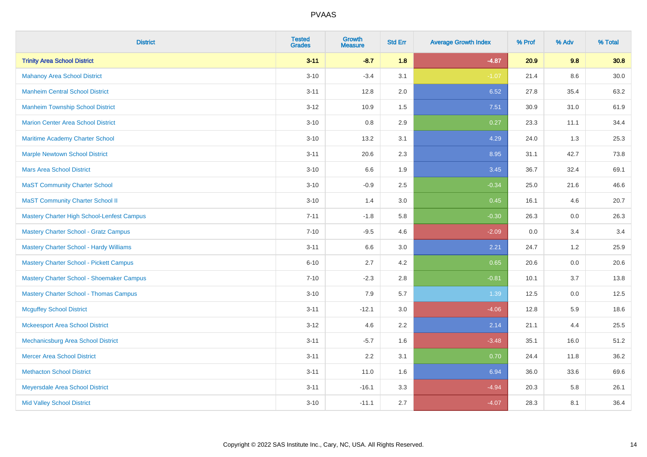| <b>District</b>                               | <b>Tested</b><br><b>Grades</b> | Growth<br><b>Measure</b> | <b>Std Err</b> | <b>Average Growth Index</b> | % Prof | % Adv   | % Total |
|-----------------------------------------------|--------------------------------|--------------------------|----------------|-----------------------------|--------|---------|---------|
| <b>Trinity Area School District</b>           | $3 - 11$                       | $-8.7$                   | 1.8            | $-4.87$                     | 20.9   | 9.8     | 30.8    |
| <b>Mahanoy Area School District</b>           | $3 - 10$                       | $-3.4$                   | 3.1            | $-1.07$                     | 21.4   | $8.6\,$ | 30.0    |
| <b>Manheim Central School District</b>        | $3 - 11$                       | 12.8                     | 2.0            | 6.52                        | 27.8   | 35.4    | 63.2    |
| <b>Manheim Township School District</b>       | $3 - 12$                       | 10.9                     | 1.5            | 7.51                        | 30.9   | 31.0    | 61.9    |
| <b>Marion Center Area School District</b>     | $3 - 10$                       | 0.8                      | 2.9            | 0.27                        | 23.3   | 11.1    | 34.4    |
| Maritime Academy Charter School               | $3 - 10$                       | 13.2                     | 3.1            | 4.29                        | 24.0   | 1.3     | 25.3    |
| <b>Marple Newtown School District</b>         | $3 - 11$                       | 20.6                     | 2.3            | 8.95                        | 31.1   | 42.7    | 73.8    |
| <b>Mars Area School District</b>              | $3 - 10$                       | 6.6                      | 1.9            | 3.45                        | 36.7   | 32.4    | 69.1    |
| <b>MaST Community Charter School</b>          | $3 - 10$                       | $-0.9$                   | 2.5            | $-0.34$                     | 25.0   | 21.6    | 46.6    |
| <b>MaST Community Charter School II</b>       | $3 - 10$                       | 1.4                      | 3.0            | 0.45                        | 16.1   | 4.6     | 20.7    |
| Mastery Charter High School-Lenfest Campus    | $7 - 11$                       | $-1.8$                   | 5.8            | $-0.30$                     | 26.3   | 0.0     | 26.3    |
| <b>Mastery Charter School - Gratz Campus</b>  | $7 - 10$                       | $-9.5$                   | 4.6            | $-2.09$                     | 0.0    | 3.4     | 3.4     |
| Mastery Charter School - Hardy Williams       | $3 - 11$                       | 6.6                      | 3.0            | 2.21                        | 24.7   | 1.2     | 25.9    |
| Mastery Charter School - Pickett Campus       | $6 - 10$                       | 2.7                      | 4.2            | 0.65                        | 20.6   | 0.0     | 20.6    |
| Mastery Charter School - Shoemaker Campus     | $7 - 10$                       | $-2.3$                   | 2.8            | $-0.81$                     | 10.1   | 3.7     | 13.8    |
| <b>Mastery Charter School - Thomas Campus</b> | $3 - 10$                       | 7.9                      | 5.7            | 1.39                        | 12.5   | $0.0\,$ | 12.5    |
| <b>Mcguffey School District</b>               | $3 - 11$                       | $-12.1$                  | 3.0            | $-4.06$                     | 12.8   | 5.9     | 18.6    |
| <b>Mckeesport Area School District</b>        | $3 - 12$                       | 4.6                      | 2.2            | 2.14                        | 21.1   | 4.4     | 25.5    |
| Mechanicsburg Area School District            | $3 - 11$                       | $-5.7$                   | 1.6            | $-3.48$                     | 35.1   | 16.0    | 51.2    |
| <b>Mercer Area School District</b>            | $3 - 11$                       | 2.2                      | 3.1            | 0.70                        | 24.4   | 11.8    | 36.2    |
| <b>Methacton School District</b>              | $3 - 11$                       | 11.0                     | 1.6            | 6.94                        | 36.0   | 33.6    | 69.6    |
| Meyersdale Area School District               | $3 - 11$                       | $-16.1$                  | 3.3            | $-4.94$                     | 20.3   | 5.8     | 26.1    |
| <b>Mid Valley School District</b>             | $3 - 10$                       | $-11.1$                  | 2.7            | $-4.07$                     | 28.3   | 8.1     | 36.4    |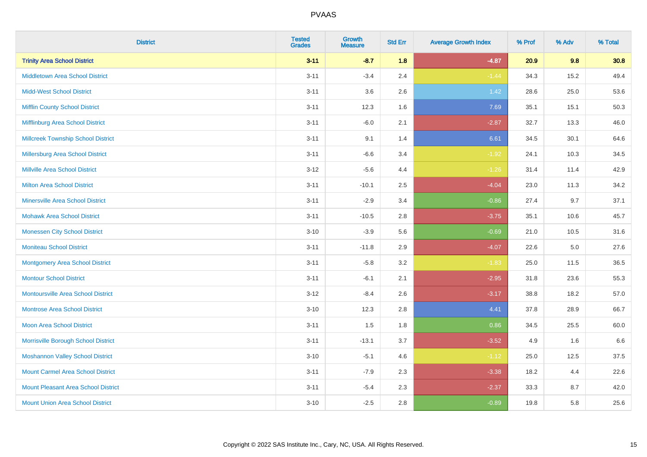| <b>District</b>                            | <b>Tested</b><br><b>Grades</b> | <b>Growth</b><br><b>Measure</b> | <b>Std Err</b> | <b>Average Growth Index</b> | % Prof | % Adv | % Total |
|--------------------------------------------|--------------------------------|---------------------------------|----------------|-----------------------------|--------|-------|---------|
| <b>Trinity Area School District</b>        | $3 - 11$                       | $-8.7$                          | 1.8            | $-4.87$                     | 20.9   | 9.8   | 30.8    |
| <b>Middletown Area School District</b>     | $3 - 11$                       | $-3.4$                          | 2.4            | $-1.44$                     | 34.3   | 15.2  | 49.4    |
| <b>Midd-West School District</b>           | $3 - 11$                       | 3.6                             | 2.6            | $1.42$                      | 28.6   | 25.0  | 53.6    |
| <b>Mifflin County School District</b>      | $3 - 11$                       | 12.3                            | 1.6            | 7.69                        | 35.1   | 15.1  | 50.3    |
| Mifflinburg Area School District           | $3 - 11$                       | $-6.0$                          | 2.1            | $-2.87$                     | 32.7   | 13.3  | 46.0    |
| <b>Millcreek Township School District</b>  | $3 - 11$                       | 9.1                             | 1.4            | 6.61                        | 34.5   | 30.1  | 64.6    |
| <b>Millersburg Area School District</b>    | $3 - 11$                       | $-6.6$                          | 3.4            | $-1.92$                     | 24.1   | 10.3  | 34.5    |
| <b>Millville Area School District</b>      | $3-12$                         | $-5.6$                          | 4.4            | $-1.26$                     | 31.4   | 11.4  | 42.9    |
| Milton Area School District                | $3 - 11$                       | $-10.1$                         | 2.5            | $-4.04$                     | 23.0   | 11.3  | 34.2    |
| <b>Minersville Area School District</b>    | $3 - 11$                       | $-2.9$                          | 3.4            | $-0.86$                     | 27.4   | 9.7   | 37.1    |
| <b>Mohawk Area School District</b>         | $3 - 11$                       | $-10.5$                         | 2.8            | $-3.75$                     | 35.1   | 10.6  | 45.7    |
| <b>Monessen City School District</b>       | $3 - 10$                       | $-3.9$                          | 5.6            | $-0.69$                     | 21.0   | 10.5  | 31.6    |
| <b>Moniteau School District</b>            | $3 - 11$                       | $-11.8$                         | 2.9            | $-4.07$                     | 22.6   | 5.0   | 27.6    |
| <b>Montgomery Area School District</b>     | $3 - 11$                       | $-5.8$                          | 3.2            | $-1.83$                     | 25.0   | 11.5  | 36.5    |
| <b>Montour School District</b>             | $3 - 11$                       | $-6.1$                          | 2.1            | $-2.95$                     | 31.8   | 23.6  | 55.3    |
| <b>Montoursville Area School District</b>  | $3 - 12$                       | $-8.4$                          | 2.6            | $-3.17$                     | 38.8   | 18.2  | 57.0    |
| <b>Montrose Area School District</b>       | $3 - 10$                       | 12.3                            | 2.8            | 4.41                        | 37.8   | 28.9  | 66.7    |
| <b>Moon Area School District</b>           | $3 - 11$                       | 1.5                             | 1.8            | 0.86                        | 34.5   | 25.5  | 60.0    |
| Morrisville Borough School District        | $3 - 11$                       | $-13.1$                         | 3.7            | $-3.52$                     | 4.9    | 1.6   | 6.6     |
| <b>Moshannon Valley School District</b>    | $3 - 10$                       | $-5.1$                          | 4.6            | $-1.12$                     | 25.0   | 12.5  | 37.5    |
| <b>Mount Carmel Area School District</b>   | $3 - 11$                       | $-7.9$                          | 2.3            | $-3.38$                     | 18.2   | 4.4   | 22.6    |
| <b>Mount Pleasant Area School District</b> | $3 - 11$                       | $-5.4$                          | 2.3            | $-2.37$                     | 33.3   | 8.7   | 42.0    |
| <b>Mount Union Area School District</b>    | $3 - 10$                       | $-2.5$                          | 2.8            | $-0.89$                     | 19.8   | 5.8   | 25.6    |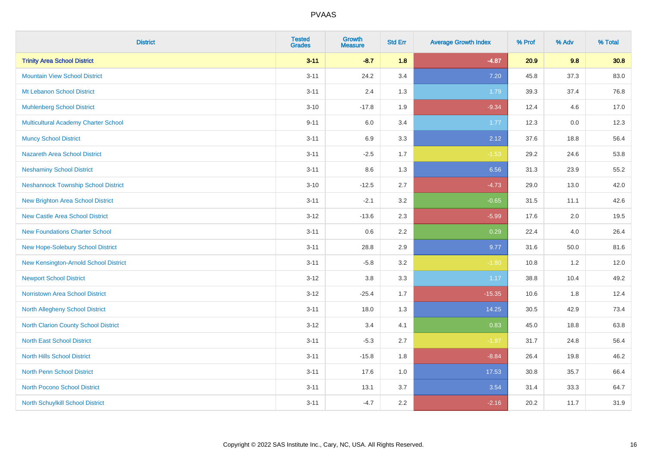| <b>District</b>                            | <b>Tested</b><br><b>Grades</b> | <b>Growth</b><br><b>Measure</b> | <b>Std Err</b> | <b>Average Growth Index</b> | % Prof | % Adv    | % Total |
|--------------------------------------------|--------------------------------|---------------------------------|----------------|-----------------------------|--------|----------|---------|
| <b>Trinity Area School District</b>        | $3 - 11$                       | $-8.7$                          | 1.8            | $-4.87$                     | 20.9   | 9.8      | 30.8    |
| <b>Mountain View School District</b>       | $3 - 11$                       | 24.2                            | 3.4            | 7.20                        | 45.8   | 37.3     | 83.0    |
| Mt Lebanon School District                 | $3 - 11$                       | 2.4                             | 1.3            | 1.79                        | 39.3   | 37.4     | 76.8    |
| <b>Muhlenberg School District</b>          | $3 - 10$                       | $-17.8$                         | 1.9            | $-9.34$                     | 12.4   | 4.6      | 17.0    |
| Multicultural Academy Charter School       | $9 - 11$                       | 6.0                             | 3.4            | 1.77                        | 12.3   | 0.0      | 12.3    |
| <b>Muncy School District</b>               | $3 - 11$                       | 6.9                             | 3.3            | 2.12                        | 37.6   | 18.8     | 56.4    |
| <b>Nazareth Area School District</b>       | $3 - 11$                       | $-2.5$                          | 1.7            | $-1.53$                     | 29.2   | 24.6     | 53.8    |
| <b>Neshaminy School District</b>           | $3 - 11$                       | 8.6                             | 1.3            | 6.56                        | 31.3   | 23.9     | 55.2    |
| <b>Neshannock Township School District</b> | $3 - 10$                       | $-12.5$                         | 2.7            | $-4.73$                     | 29.0   | 13.0     | 42.0    |
| <b>New Brighton Area School District</b>   | $3 - 11$                       | $-2.1$                          | 3.2            | $-0.65$                     | 31.5   | 11.1     | 42.6    |
| <b>New Castle Area School District</b>     | $3 - 12$                       | $-13.6$                         | 2.3            | $-5.99$                     | 17.6   | 2.0      | 19.5    |
| <b>New Foundations Charter School</b>      | $3 - 11$                       | 0.6                             | 2.2            | 0.29                        | 22.4   | 4.0      | 26.4    |
| New Hope-Solebury School District          | $3 - 11$                       | 28.8                            | 2.9            | 9.77                        | 31.6   | $50.0\,$ | 81.6    |
| New Kensington-Arnold School District      | $3 - 11$                       | $-5.8$                          | 3.2            | $-1.80$                     | 10.8   | 1.2      | 12.0    |
| <b>Newport School District</b>             | $3-12$                         | $3.8\,$                         | 3.3            | 1.17                        | 38.8   | 10.4     | 49.2    |
| <b>Norristown Area School District</b>     | $3 - 12$                       | $-25.4$                         | 1.7            | $-15.35$                    | 10.6   | 1.8      | 12.4    |
| <b>North Allegheny School District</b>     | $3 - 11$                       | 18.0                            | 1.3            | 14.25                       | 30.5   | 42.9     | 73.4    |
| North Clarion County School District       | $3-12$                         | 3.4                             | 4.1            | 0.83                        | 45.0   | 18.8     | 63.8    |
| <b>North East School District</b>          | $3 - 11$                       | $-5.3$                          | 2.7            | $-1.97$                     | 31.7   | 24.8     | 56.4    |
| <b>North Hills School District</b>         | $3 - 11$                       | $-15.8$                         | 1.8            | $-8.84$                     | 26.4   | 19.8     | 46.2    |
| <b>North Penn School District</b>          | $3 - 11$                       | 17.6                            | 1.0            | 17.53                       | 30.8   | 35.7     | 66.4    |
| <b>North Pocono School District</b>        | $3 - 11$                       | 13.1                            | 3.7            | 3.54                        | 31.4   | 33.3     | 64.7    |
| North Schuylkill School District           | $3 - 11$                       | $-4.7$                          | 2.2            | $-2.16$                     | 20.2   | 11.7     | 31.9    |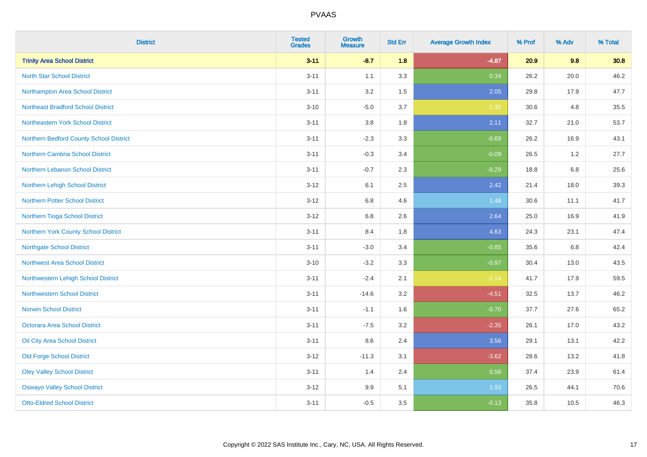| <b>District</b>                           | <b>Tested</b><br><b>Grades</b> | <b>Growth</b><br><b>Measure</b> | <b>Std Err</b> | <b>Average Growth Index</b> | % Prof | % Adv | % Total |
|-------------------------------------------|--------------------------------|---------------------------------|----------------|-----------------------------|--------|-------|---------|
| <b>Trinity Area School District</b>       | $3 - 11$                       | $-8.7$                          | 1.8            | $-4.87$                     | 20.9   | 9.8   | 30.8    |
| <b>North Star School District</b>         | $3 - 11$                       | 1.1                             | 3.3            | 0.34                        | 26.2   | 20.0  | 46.2    |
| Northampton Area School District          | $3 - 11$                       | 3.2                             | 1.5            | 2.05                        | 29.8   | 17.9  | 47.7    |
| <b>Northeast Bradford School District</b> | $3 - 10$                       | $-5.0$                          | 3.7            | $-1.35$                     | 30.6   | 4.8   | 35.5    |
| Northeastern York School District         | $3 - 11$                       | 3.8                             | 1.8            | 2.11                        | 32.7   | 21.0  | 53.7    |
| Northern Bedford County School District   | $3 - 11$                       | $-2.3$                          | 3.3            | $-0.69$                     | 26.2   | 16.9  | 43.1    |
| Northern Cambria School District          | $3 - 11$                       | $-0.3$                          | 3.4            | $-0.09$                     | 26.5   | 1.2   | 27.7    |
| Northern Lebanon School District          | $3 - 11$                       | $-0.7$                          | 2.3            | $-0.29$                     | 18.8   | 6.8   | 25.6    |
| <b>Northern Lehigh School District</b>    | $3 - 12$                       | 6.1                             | 2.5            | 2.42                        | 21.4   | 18.0  | 39.3    |
| Northern Potter School District           | $3 - 12$                       | 6.8                             | 4.6            | 1.48                        | 30.6   | 11.1  | 41.7    |
| Northern Tioga School District            | $3 - 12$                       | 6.8                             | 2.6            | 2.64                        | 25.0   | 16.9  | 41.9    |
| Northern York County School District      | $3 - 11$                       | 8.4                             | 1.8            | 4.63                        | 24.3   | 23.1  | 47.4    |
| <b>Northgate School District</b>          | $3 - 11$                       | $-3.0$                          | 3.4            | $-0.85$                     | 35.6   | 6.8   | 42.4    |
| <b>Northwest Area School District</b>     | $3 - 10$                       | $-3.2$                          | 3.3            | $-0.97$                     | 30.4   | 13.0  | 43.5    |
| Northwestern Lehigh School District       | $3 - 11$                       | $-2.4$                          | 2.1            | $-1.14$                     | 41.7   | 17.9  | 59.5    |
| <b>Northwestern School District</b>       | $3 - 11$                       | $-14.6$                         | 3.2            | $-4.51$                     | 32.5   | 13.7  | 46.2    |
| <b>Norwin School District</b>             | $3 - 11$                       | $-1.1$                          | 1.6            | $-0.70$                     | 37.7   | 27.6  | 65.2    |
| <b>Octorara Area School District</b>      | $3 - 11$                       | $-7.5$                          | 3.2            | $-2.35$                     | 26.1   | 17.0  | 43.2    |
| Oil City Area School District             | $3 - 11$                       | 8.6                             | 2.4            | 3.56                        | 29.1   | 13.1  | 42.2    |
| <b>Old Forge School District</b>          | $3-12$                         | $-11.3$                         | 3.1            | $-3.62$                     | 28.6   | 13.2  | 41.8    |
| <b>Oley Valley School District</b>        | $3 - 11$                       | 1.4                             | 2.4            | 0.56                        | 37.4   | 23.9  | 61.4    |
| <b>Oswayo Valley School District</b>      | $3-12$                         | 9.9                             | 5.1            | 1.93                        | 26.5   | 44.1  | 70.6    |
| <b>Otto-Eldred School District</b>        | $3 - 11$                       | $-0.5$                          | 3.5            | $-0.13$                     | 35.8   | 10.5  | 46.3    |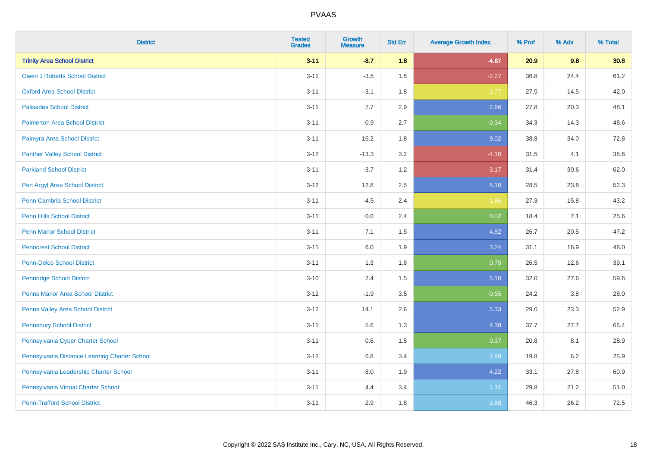| <b>District</b>                               | <b>Tested</b><br><b>Grades</b> | <b>Growth</b><br><b>Measure</b> | <b>Std Err</b> | <b>Average Growth Index</b> | % Prof | % Adv   | % Total |
|-----------------------------------------------|--------------------------------|---------------------------------|----------------|-----------------------------|--------|---------|---------|
| <b>Trinity Area School District</b>           | $3 - 11$                       | $-8.7$                          | 1.8            | $-4.87$                     | 20.9   | 9.8     | 30.8    |
| <b>Owen J Roberts School District</b>         | $3 - 11$                       | $-3.5$                          | 1.5            | $-2.27$                     | 36.8   | 24.4    | 61.2    |
| <b>Oxford Area School District</b>            | $3 - 11$                       | $-3.1$                          | 1.8            | $-1.77$                     | 27.5   | 14.5    | 42.0    |
| <b>Palisades School District</b>              | $3 - 11$                       | 7.7                             | 2.9            | 2.66                        | 27.8   | 20.3    | 48.1    |
| <b>Palmerton Area School District</b>         | $3 - 11$                       | $-0.9$                          | 2.7            | $-0.34$                     | 34.3   | 14.3    | 48.6    |
| Palmyra Area School District                  | $3 - 11$                       | 16.2                            | 1.8            | 9.02                        | 38.8   | 34.0    | 72.8    |
| <b>Panther Valley School District</b>         | $3 - 12$                       | $-13.3$                         | 3.2            | $-4.10$                     | 31.5   | 4.1     | 35.6    |
| <b>Parkland School District</b>               | $3 - 11$                       | $-3.7$                          | 1.2            | $-3.17$                     | 31.4   | 30.6    | 62.0    |
| Pen Argyl Area School District                | $3 - 12$                       | 12.8                            | 2.5            | 5.10                        | 28.5   | 23.8    | 52.3    |
| Penn Cambria School District                  | $3 - 11$                       | $-4.5$                          | 2.4            | $-1.86$                     | 27.3   | 15.8    | 43.2    |
| <b>Penn Hills School District</b>             | $3 - 11$                       | 0.0                             | 2.4            | 0.02                        | 18.4   | 7.1     | 25.6    |
| <b>Penn Manor School District</b>             | $3 - 11$                       | 7.1                             | 1.5            | 4.82                        | 26.7   | 20.5    | 47.2    |
| <b>Penncrest School District</b>              | $3 - 11$                       | 6.0                             | 1.9            | 3.24                        | 31.1   | 16.9    | 48.0    |
| <b>Penn-Delco School District</b>             | $3 - 11$                       | 1.3                             | 1.8            | 0.75                        | 26.5   | 12.6    | 39.1    |
| <b>Pennridge School District</b>              | $3 - 10$                       | 7.4                             | 1.5            | 5.10                        | 32.0   | 27.6    | 59.6    |
| <b>Penns Manor Area School District</b>       | $3 - 12$                       | $-1.9$                          | $3.5\,$        | $-0.55$                     | 24.2   | $3.8\,$ | 28.0    |
| Penns Valley Area School District             | $3 - 12$                       | 14.1                            | 2.6            | 5.33                        | 29.6   | 23.3    | 52.9    |
| <b>Pennsbury School District</b>              | $3 - 11$                       | 5.6                             | 1.3            | 4.38                        | 37.7   | 27.7    | 65.4    |
| Pennsylvania Cyber Charter School             | $3 - 11$                       | 0.6                             | 1.5            | 0.37                        | 20.8   | 8.1     | 28.9    |
| Pennsylvania Distance Learning Charter School | $3 - 12$                       | 6.8                             | 3.4            | 1.99                        | 19.8   | 6.2     | 25.9    |
| Pennsylvania Leadership Charter School        | $3 - 11$                       | 8.0                             | 1.9            | 4.22                        | 33.1   | 27.8    | 60.9    |
| Pennsylvania Virtual Charter School           | $3 - 11$                       | 4.4                             | 3.4            | 1.31                        | 29.8   | 21.2    | 51.0    |
| <b>Penn-Trafford School District</b>          | $3 - 11$                       | 2.9                             | 1.8            | 1.68                        | 46.3   | 26.2    | 72.5    |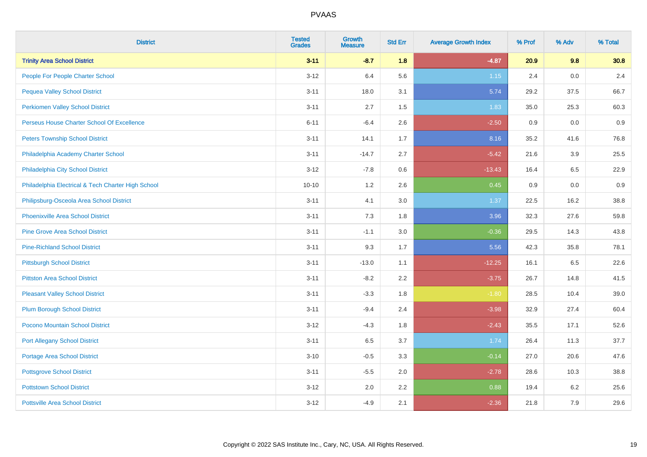| <b>District</b>                                    | <b>Tested</b><br><b>Grades</b> | <b>Growth</b><br><b>Measure</b> | <b>Std Err</b> | <b>Average Growth Index</b> | % Prof | % Adv | % Total |
|----------------------------------------------------|--------------------------------|---------------------------------|----------------|-----------------------------|--------|-------|---------|
| <b>Trinity Area School District</b>                | $3 - 11$                       | $-8.7$                          | 1.8            | $-4.87$                     | 20.9   | 9.8   | 30.8    |
| People For People Charter School                   | $3-12$                         | 6.4                             | 5.6            | $1.15$                      | 2.4    | 0.0   | 2.4     |
| <b>Pequea Valley School District</b>               | $3 - 11$                       | 18.0                            | 3.1            | 5.74                        | 29.2   | 37.5  | 66.7    |
| <b>Perkiomen Valley School District</b>            | $3 - 11$                       | 2.7                             | 1.5            | 1.83                        | 35.0   | 25.3  | 60.3    |
| Perseus House Charter School Of Excellence         | $6 - 11$                       | $-6.4$                          | 2.6            | $-2.50$                     | 0.9    | 0.0   | 0.9     |
| <b>Peters Township School District</b>             | $3 - 11$                       | 14.1                            | 1.7            | 8.16                        | 35.2   | 41.6  | 76.8    |
| Philadelphia Academy Charter School                | $3 - 11$                       | $-14.7$                         | 2.7            | $-5.42$                     | 21.6   | 3.9   | 25.5    |
| Philadelphia City School District                  | $3 - 12$                       | $-7.8$                          | 0.6            | $-13.43$                    | 16.4   | 6.5   | 22.9    |
| Philadelphia Electrical & Tech Charter High School | $10 - 10$                      | 1.2                             | 2.6            | 0.45                        | 0.9    | 0.0   | 0.9     |
| Philipsburg-Osceola Area School District           | $3 - 11$                       | 4.1                             | 3.0            | 1.37                        | 22.5   | 16.2  | 38.8    |
| <b>Phoenixville Area School District</b>           | $3 - 11$                       | 7.3                             | 1.8            | 3.96                        | 32.3   | 27.6  | 59.8    |
| <b>Pine Grove Area School District</b>             | $3 - 11$                       | $-1.1$                          | 3.0            | $-0.36$                     | 29.5   | 14.3  | 43.8    |
| <b>Pine-Richland School District</b>               | $3 - 11$                       | 9.3                             | 1.7            | 5.56                        | 42.3   | 35.8  | 78.1    |
| <b>Pittsburgh School District</b>                  | $3 - 11$                       | $-13.0$                         | 1.1            | $-12.25$                    | 16.1   | 6.5   | 22.6    |
| <b>Pittston Area School District</b>               | $3 - 11$                       | $-8.2$                          | 2.2            | $-3.75$                     | 26.7   | 14.8  | 41.5    |
| <b>Pleasant Valley School District</b>             | $3 - 11$                       | $-3.3$                          | 1.8            | $-1.80$                     | 28.5   | 10.4  | 39.0    |
| <b>Plum Borough School District</b>                | $3 - 11$                       | $-9.4$                          | 2.4            | $-3.98$                     | 32.9   | 27.4  | 60.4    |
| Pocono Mountain School District                    | $3 - 12$                       | $-4.3$                          | 1.8            | $-2.43$                     | 35.5   | 17.1  | 52.6    |
| <b>Port Allegany School District</b>               | $3 - 11$                       | 6.5                             | 3.7            | 1.74                        | 26.4   | 11.3  | 37.7    |
| <b>Portage Area School District</b>                | $3 - 10$                       | $-0.5$                          | 3.3            | $-0.14$                     | 27.0   | 20.6  | 47.6    |
| <b>Pottsgrove School District</b>                  | $3 - 11$                       | $-5.5$                          | 2.0            | $-2.78$                     | 28.6   | 10.3  | 38.8    |
| <b>Pottstown School District</b>                   | $3 - 12$                       | 2.0                             | 2.2            | 0.88                        | 19.4   | 6.2   | 25.6    |
| <b>Pottsville Area School District</b>             | $3 - 12$                       | $-4.9$                          | 2.1            | $-2.36$                     | 21.8   | 7.9   | 29.6    |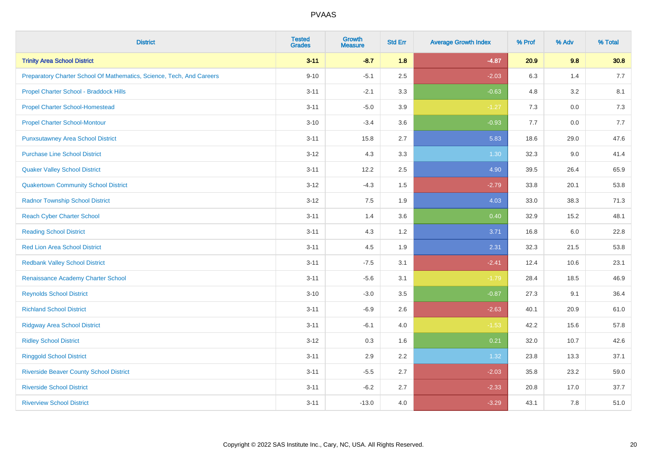| <b>District</b>                                                       | <b>Tested</b><br><b>Grades</b> | <b>Growth</b><br><b>Measure</b> | <b>Std Err</b> | <b>Average Growth Index</b> | % Prof | % Adv | % Total |
|-----------------------------------------------------------------------|--------------------------------|---------------------------------|----------------|-----------------------------|--------|-------|---------|
| <b>Trinity Area School District</b>                                   | $3 - 11$                       | $-8.7$                          | 1.8            | $-4.87$                     | 20.9   | 9.8   | 30.8    |
| Preparatory Charter School Of Mathematics, Science, Tech, And Careers | $9 - 10$                       | $-5.1$                          | 2.5            | $-2.03$                     | 6.3    | 1.4   | 7.7     |
| Propel Charter School - Braddock Hills                                | $3 - 11$                       | $-2.1$                          | 3.3            | $-0.63$                     | 4.8    | 3.2   | 8.1     |
| <b>Propel Charter School-Homestead</b>                                | $3 - 11$                       | $-5.0$                          | 3.9            | $-1.27$                     | $7.3$  | 0.0   | 7.3     |
| <b>Propel Charter School-Montour</b>                                  | $3 - 10$                       | $-3.4$                          | 3.6            | $-0.93$                     | 7.7    | 0.0   | 7.7     |
| <b>Punxsutawney Area School District</b>                              | $3 - 11$                       | 15.8                            | 2.7            | 5.83                        | 18.6   | 29.0  | 47.6    |
| <b>Purchase Line School District</b>                                  | $3 - 12$                       | 4.3                             | 3.3            | 1.30                        | 32.3   | 9.0   | 41.4    |
| <b>Quaker Valley School District</b>                                  | $3 - 11$                       | 12.2                            | 2.5            | 4.90                        | 39.5   | 26.4  | 65.9    |
| <b>Quakertown Community School District</b>                           | $3 - 12$                       | $-4.3$                          | 1.5            | $-2.79$                     | 33.8   | 20.1  | 53.8    |
| <b>Radnor Township School District</b>                                | $3 - 12$                       | 7.5                             | 1.9            | 4.03                        | 33.0   | 38.3  | 71.3    |
| <b>Reach Cyber Charter School</b>                                     | $3 - 11$                       | 1.4                             | 3.6            | 0.40                        | 32.9   | 15.2  | 48.1    |
| <b>Reading School District</b>                                        | $3 - 11$                       | 4.3                             | 1.2            | 3.71                        | 16.8   | 6.0   | 22.8    |
| <b>Red Lion Area School District</b>                                  | $3 - 11$                       | 4.5                             | 1.9            | 2.31                        | 32.3   | 21.5  | 53.8    |
| <b>Redbank Valley School District</b>                                 | $3 - 11$                       | $-7.5$                          | 3.1            | $-2.41$                     | 12.4   | 10.6  | 23.1    |
| Renaissance Academy Charter School                                    | $3 - 11$                       | $-5.6$                          | 3.1            | $-1.79$                     | 28.4   | 18.5  | 46.9    |
| <b>Reynolds School District</b>                                       | $3 - 10$                       | $-3.0$                          | 3.5            | $-0.87$                     | 27.3   | 9.1   | 36.4    |
| <b>Richland School District</b>                                       | $3 - 11$                       | $-6.9$                          | 2.6            | $-2.63$                     | 40.1   | 20.9  | 61.0    |
| <b>Ridgway Area School District</b>                                   | $3 - 11$                       | $-6.1$                          | 4.0            | $-1.53$                     | 42.2   | 15.6  | 57.8    |
| <b>Ridley School District</b>                                         | $3 - 12$                       | 0.3                             | 1.6            | 0.21                        | 32.0   | 10.7  | 42.6    |
| <b>Ringgold School District</b>                                       | $3 - 11$                       | 2.9                             | 2.2            | 1.32                        | 23.8   | 13.3  | 37.1    |
| <b>Riverside Beaver County School District</b>                        | $3 - 11$                       | $-5.5$                          | 2.7            | $-2.03$                     | 35.8   | 23.2  | 59.0    |
| <b>Riverside School District</b>                                      | $3 - 11$                       | $-6.2$                          | 2.7            | $-2.33$                     | 20.8   | 17.0  | 37.7    |
| <b>Riverview School District</b>                                      | $3 - 11$                       | $-13.0$                         | 4.0            | $-3.29$                     | 43.1   | 7.8   | 51.0    |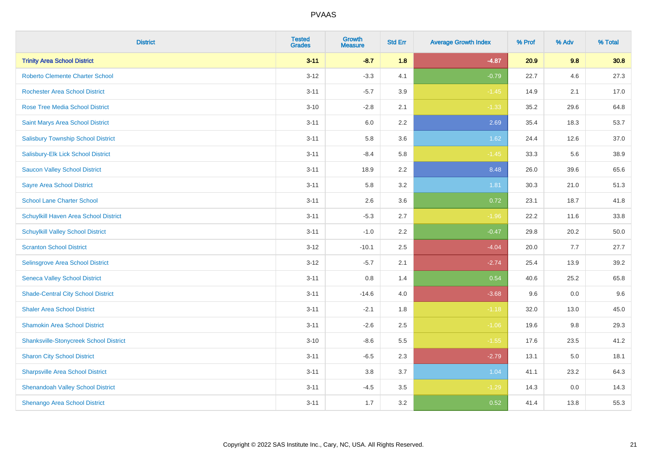| <b>District</b>                               | <b>Tested</b><br><b>Grades</b> | Growth<br><b>Measure</b> | <b>Std Err</b> | <b>Average Growth Index</b> | % Prof | % Adv | % Total |
|-----------------------------------------------|--------------------------------|--------------------------|----------------|-----------------------------|--------|-------|---------|
| <b>Trinity Area School District</b>           | $3 - 11$                       | $-8.7$                   | 1.8            | $-4.87$                     | 20.9   | 9.8   | 30.8    |
| <b>Roberto Clemente Charter School</b>        | $3 - 12$                       | $-3.3$                   | 4.1            | $-0.79$                     | 22.7   | 4.6   | 27.3    |
| <b>Rochester Area School District</b>         | $3 - 11$                       | $-5.7$                   | 3.9            | $-1.45$                     | 14.9   | 2.1   | 17.0    |
| Rose Tree Media School District               | $3 - 10$                       | $-2.8$                   | 2.1            | $-1.33$                     | 35.2   | 29.6  | 64.8    |
| Saint Marys Area School District              | $3 - 11$                       | 6.0                      | 2.2            | 2.69                        | 35.4   | 18.3  | 53.7    |
| <b>Salisbury Township School District</b>     | $3 - 11$                       | 5.8                      | 3.6            | 1.62                        | 24.4   | 12.6  | 37.0    |
| Salisbury-Elk Lick School District            | $3 - 11$                       | $-8.4$                   | 5.8            | $-1.45$                     | 33.3   | 5.6   | 38.9    |
| <b>Saucon Valley School District</b>          | $3 - 11$                       | 18.9                     | 2.2            | 8.48                        | 26.0   | 39.6  | 65.6    |
| <b>Sayre Area School District</b>             | $3 - 11$                       | 5.8                      | 3.2            | 1.81                        | 30.3   | 21.0  | 51.3    |
| <b>School Lane Charter School</b>             | $3 - 11$                       | 2.6                      | 3.6            | 0.72                        | 23.1   | 18.7  | 41.8    |
| Schuylkill Haven Area School District         | $3 - 11$                       | $-5.3$                   | 2.7            | $-1.96$                     | 22.2   | 11.6  | 33.8    |
| <b>Schuylkill Valley School District</b>      | $3 - 11$                       | $-1.0$                   | 2.2            | $-0.47$                     | 29.8   | 20.2  | 50.0    |
| <b>Scranton School District</b>               | $3 - 12$                       | $-10.1$                  | 2.5            | $-4.04$                     | 20.0   | 7.7   | 27.7    |
| Selinsgrove Area School District              | $3 - 12$                       | $-5.7$                   | 2.1            | $-2.74$                     | 25.4   | 13.9  | 39.2    |
| <b>Seneca Valley School District</b>          | $3 - 11$                       | $0.8\,$                  | 1.4            | 0.54                        | 40.6   | 25.2  | 65.8    |
| <b>Shade-Central City School District</b>     | $3 - 11$                       | $-14.6$                  | 4.0            | $-3.68$                     | 9.6    | 0.0   | 9.6     |
| <b>Shaler Area School District</b>            | $3 - 11$                       | $-2.1$                   | 1.8            | $-1.18$                     | 32.0   | 13.0  | 45.0    |
| <b>Shamokin Area School District</b>          | $3 - 11$                       | $-2.6$                   | 2.5            | $-1.06$                     | 19.6   | 9.8   | 29.3    |
| <b>Shanksville-Stonycreek School District</b> | $3 - 10$                       | $-8.6$                   | 5.5            | $-1.55$                     | 17.6   | 23.5  | 41.2    |
| <b>Sharon City School District</b>            | $3 - 11$                       | $-6.5$                   | 2.3            | $-2.79$                     | 13.1   | 5.0   | 18.1    |
| <b>Sharpsville Area School District</b>       | $3 - 11$                       | 3.8                      | 3.7            | 1.04                        | 41.1   | 23.2  | 64.3    |
| <b>Shenandoah Valley School District</b>      | $3 - 11$                       | $-4.5$                   | 3.5            | $-1.29$                     | 14.3   | 0.0   | 14.3    |
| Shenango Area School District                 | $3 - 11$                       | 1.7                      | 3.2            | 0.52                        | 41.4   | 13.8  | 55.3    |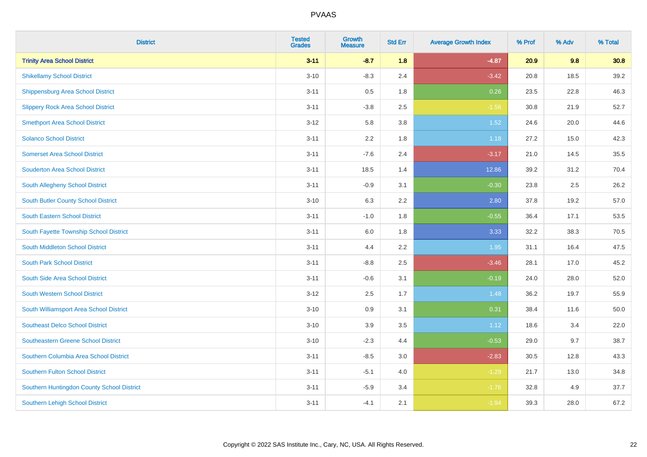| <b>District</b>                            | <b>Tested</b><br><b>Grades</b> | <b>Growth</b><br><b>Measure</b> | <b>Std Err</b> | <b>Average Growth Index</b> | % Prof | % Adv | % Total |
|--------------------------------------------|--------------------------------|---------------------------------|----------------|-----------------------------|--------|-------|---------|
| <b>Trinity Area School District</b>        | $3 - 11$                       | $-8.7$                          | 1.8            | $-4.87$                     | 20.9   | 9.8   | 30.8    |
| <b>Shikellamy School District</b>          | $3 - 10$                       | $-8.3$                          | 2.4            | $-3.42$                     | 20.8   | 18.5  | 39.2    |
| <b>Shippensburg Area School District</b>   | $3 - 11$                       | 0.5                             | 1.8            | 0.26                        | 23.5   | 22.8  | 46.3    |
| <b>Slippery Rock Area School District</b>  | $3 - 11$                       | $-3.8$                          | 2.5            | $-1.56$                     | 30.8   | 21.9  | 52.7    |
| <b>Smethport Area School District</b>      | $3 - 12$                       | 5.8                             | 3.8            | $1.52$                      | 24.6   | 20.0  | 44.6    |
| <b>Solanco School District</b>             | $3 - 11$                       | 2.2                             | 1.8            | 1.18                        | 27.2   | 15.0  | 42.3    |
| <b>Somerset Area School District</b>       | $3 - 11$                       | $-7.6$                          | 2.4            | $-3.17$                     | 21.0   | 14.5  | 35.5    |
| <b>Souderton Area School District</b>      | $3 - 11$                       | 18.5                            | 1.4            | 12.86                       | 39.2   | 31.2  | 70.4    |
| South Allegheny School District            | $3 - 11$                       | $-0.9$                          | 3.1            | $-0.30$                     | 23.8   | 2.5   | 26.2    |
| <b>South Butler County School District</b> | $3 - 10$                       | 6.3                             | 2.2            | 2.80                        | 37.8   | 19.2  | 57.0    |
| South Eastern School District              | $3 - 11$                       | $-1.0$                          | 1.8            | $-0.55$                     | 36.4   | 17.1  | 53.5    |
| South Fayette Township School District     | $3 - 11$                       | 6.0                             | 1.8            | 3.33                        | 32.2   | 38.3  | 70.5    |
| South Middleton School District            | $3 - 11$                       | 4.4                             | 2.2            | 1.95                        | 31.1   | 16.4  | 47.5    |
| South Park School District                 | $3 - 11$                       | $-8.8$                          | 2.5            | $-3.46$                     | 28.1   | 17.0  | 45.2    |
| South Side Area School District            | $3 - 11$                       | $-0.6$                          | 3.1            | $-0.19$                     | 24.0   | 28.0  | 52.0    |
| <b>South Western School District</b>       | $3 - 12$                       | 2.5                             | 1.7            | 1.48                        | 36.2   | 19.7  | 55.9    |
| South Williamsport Area School District    | $3 - 10$                       | 0.9                             | 3.1            | 0.31                        | 38.4   | 11.6  | 50.0    |
| <b>Southeast Delco School District</b>     | $3 - 10$                       | 3.9                             | 3.5            | 1.12                        | 18.6   | 3.4   | 22.0    |
| <b>Southeastern Greene School District</b> | $3 - 10$                       | $-2.3$                          | 4.4            | $-0.53$                     | 29.0   | 9.7   | 38.7    |
| Southern Columbia Area School District     | $3 - 11$                       | $-8.5$                          | 3.0            | $-2.83$                     | 30.5   | 12.8  | 43.3    |
| <b>Southern Fulton School District</b>     | $3 - 11$                       | $-5.1$                          | 4.0            | $-1.29$                     | 21.7   | 13.0  | 34.8    |
| Southern Huntingdon County School District | $3 - 11$                       | $-5.9$                          | 3.4            | $-1.76$                     | 32.8   | 4.9   | 37.7    |
| <b>Southern Lehigh School District</b>     | $3 - 11$                       | $-4.1$                          | 2.1            | $-1.94$                     | 39.3   | 28.0  | 67.2    |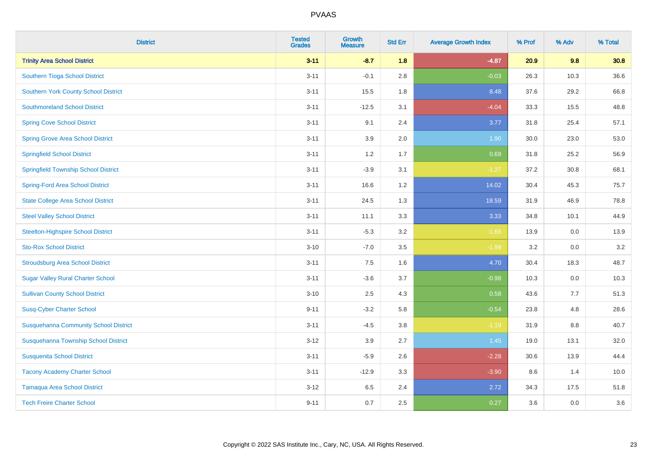| <b>District</b>                              | <b>Tested</b><br><b>Grades</b> | <b>Growth</b><br><b>Measure</b> | <b>Std Err</b> | <b>Average Growth Index</b> | % Prof | % Adv | % Total |
|----------------------------------------------|--------------------------------|---------------------------------|----------------|-----------------------------|--------|-------|---------|
| <b>Trinity Area School District</b>          | $3 - 11$                       | $-8.7$                          | 1.8            | $-4.87$                     | 20.9   | 9.8   | 30.8    |
| Southern Tioga School District               | $3 - 11$                       | $-0.1$                          | 2.8            | $-0.03$                     | 26.3   | 10.3  | 36.6    |
| <b>Southern York County School District</b>  | $3 - 11$                       | 15.5                            | 1.8            | 8.48                        | 37.6   | 29.2  | 66.8    |
| <b>Southmoreland School District</b>         | $3 - 11$                       | $-12.5$                         | 3.1            | $-4.04$                     | 33.3   | 15.5  | 48.8    |
| <b>Spring Cove School District</b>           | $3 - 11$                       | 9.1                             | 2.4            | 3.77                        | 31.8   | 25.4  | 57.1    |
| <b>Spring Grove Area School District</b>     | $3 - 11$                       | 3.9                             | 2.0            | 1.90                        | 30.0   | 23.0  | 53.0    |
| <b>Springfield School District</b>           | $3 - 11$                       | 1.2                             | 1.7            | 0.69                        | 31.8   | 25.2  | 56.9    |
| <b>Springfield Township School District</b>  | $3 - 11$                       | $-3.9$                          | 3.1            | $-1.27$                     | 37.2   | 30.8  | 68.1    |
| <b>Spring-Ford Area School District</b>      | $3 - 11$                       | 16.6                            | 1.2            | 14.02                       | 30.4   | 45.3  | 75.7    |
| <b>State College Area School District</b>    | $3 - 11$                       | 24.5                            | 1.3            | 18.59                       | 31.9   | 46.9  | 78.8    |
| <b>Steel Valley School District</b>          | $3 - 11$                       | 11.1                            | 3.3            | 3.33                        | 34.8   | 10.1  | 44.9    |
| <b>Steelton-Highspire School District</b>    | $3 - 11$                       | $-5.3$                          | 3.2            | $-1.65$                     | 13.9   | 0.0   | 13.9    |
| <b>Sto-Rox School District</b>               | $3 - 10$                       | $-7.0$                          | 3.5            | $-1.99$                     | 3.2    | 0.0   | 3.2     |
| <b>Stroudsburg Area School District</b>      | $3 - 11$                       | $7.5\,$                         | 1.6            | 4.70                        | 30.4   | 18.3  | 48.7    |
| <b>Sugar Valley Rural Charter School</b>     | $3 - 11$                       | $-3.6$                          | 3.7            | $-0.98$                     | 10.3   | 0.0   | 10.3    |
| <b>Sullivan County School District</b>       | $3 - 10$                       | 2.5                             | 4.3            | 0.58                        | 43.6   | 7.7   | 51.3    |
| <b>Susq-Cyber Charter School</b>             | $9 - 11$                       | $-3.2$                          | 5.8            | $-0.54$                     | 23.8   | 4.8   | 28.6    |
| <b>Susquehanna Community School District</b> | $3 - 11$                       | $-4.5$                          | 3.8            | $-1.19$                     | 31.9   | 8.8   | 40.7    |
| Susquehanna Township School District         | $3 - 12$                       | 3.9                             | 2.7            | 1.45                        | 19.0   | 13.1  | 32.0    |
| <b>Susquenita School District</b>            | $3 - 11$                       | $-5.9$                          | 2.6            | $-2.28$                     | 30.6   | 13.9  | 44.4    |
| <b>Tacony Academy Charter School</b>         | $3 - 11$                       | $-12.9$                         | 3.3            | $-3.90$                     | 8.6    | 1.4   | 10.0    |
| <b>Tamaqua Area School District</b>          | $3 - 12$                       | 6.5                             | 2.4            | 2.72                        | 34.3   | 17.5  | 51.8    |
| <b>Tech Freire Charter School</b>            | $9 - 11$                       | 0.7                             | 2.5            | 0.27                        | 3.6    | 0.0   | 3.6     |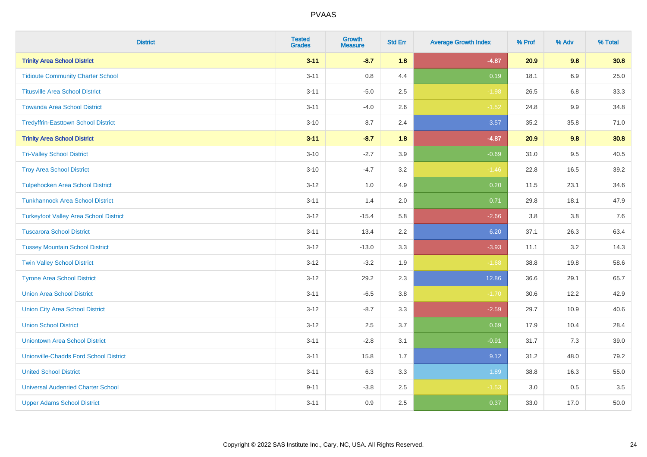| <b>District</b>                               | <b>Tested</b><br><b>Grades</b> | <b>Growth</b><br><b>Measure</b> | <b>Std Err</b> | <b>Average Growth Index</b> | % Prof | % Adv   | % Total |
|-----------------------------------------------|--------------------------------|---------------------------------|----------------|-----------------------------|--------|---------|---------|
| <b>Trinity Area School District</b>           | $3 - 11$                       | $-8.7$                          | 1.8            | $-4.87$                     | 20.9   | 9.8     | 30.8    |
| <b>Tidioute Community Charter School</b>      | $3 - 11$                       | $0.8\,$                         | 4.4            | 0.19                        | 18.1   | 6.9     | 25.0    |
| <b>Titusville Area School District</b>        | $3 - 11$                       | $-5.0$                          | 2.5            | $-1.98$                     | 26.5   | 6.8     | 33.3    |
| <b>Towanda Area School District</b>           | $3 - 11$                       | $-4.0$                          | 2.6            | $-1.52$                     | 24.8   | 9.9     | 34.8    |
| <b>Tredyffrin-Easttown School District</b>    | $3 - 10$                       | 8.7                             | 2.4            | 3.57                        | 35.2   | 35.8    | 71.0    |
| <b>Trinity Area School District</b>           | $3 - 11$                       | $-8.7$                          | 1.8            | $-4.87$                     | 20.9   | 9.8     | 30.8    |
| <b>Tri-Valley School District</b>             | $3 - 10$                       | $-2.7$                          | 3.9            | $-0.69$                     | 31.0   | 9.5     | 40.5    |
| <b>Troy Area School District</b>              | $3 - 10$                       | $-4.7$                          | 3.2            | $-1.46$                     | 22.8   | 16.5    | 39.2    |
| <b>Tulpehocken Area School District</b>       | $3 - 12$                       | 1.0                             | 4.9            | 0.20                        | 11.5   | 23.1    | 34.6    |
| <b>Tunkhannock Area School District</b>       | $3 - 11$                       | 1.4                             | 2.0            | 0.71                        | 29.8   | 18.1    | 47.9    |
| <b>Turkeyfoot Valley Area School District</b> | $3 - 12$                       | $-15.4$                         | 5.8            | $-2.66$                     | 3.8    | 3.8     | 7.6     |
| <b>Tuscarora School District</b>              | $3 - 11$                       | 13.4                            | 2.2            | 6.20                        | 37.1   | 26.3    | 63.4    |
| <b>Tussey Mountain School District</b>        | $3 - 12$                       | $-13.0$                         | 3.3            | $-3.93$                     | 11.1   | $3.2\,$ | 14.3    |
| <b>Twin Valley School District</b>            | $3 - 12$                       | $-3.2$                          | 1.9            | $-1.68$                     | 38.8   | 19.8    | 58.6    |
| <b>Tyrone Area School District</b>            | $3 - 12$                       | 29.2                            | 2.3            | 12.86                       | 36.6   | 29.1    | 65.7    |
| <b>Union Area School District</b>             | $3 - 11$                       | $-6.5$                          | 3.8            | $-1.70$                     | 30.6   | 12.2    | 42.9    |
| <b>Union City Area School District</b>        | $3 - 12$                       | $-8.7$                          | 3.3            | $-2.59$                     | 29.7   | 10.9    | 40.6    |
| <b>Union School District</b>                  | $3 - 12$                       | 2.5                             | 3.7            | 0.69                        | 17.9   | 10.4    | 28.4    |
| <b>Uniontown Area School District</b>         | $3 - 11$                       | $-2.8$                          | 3.1            | $-0.91$                     | 31.7   | 7.3     | 39.0    |
| <b>Unionville-Chadds Ford School District</b> | $3 - 11$                       | 15.8                            | 1.7            | 9.12                        | 31.2   | 48.0    | 79.2    |
| <b>United School District</b>                 | $3 - 11$                       | 6.3                             | 3.3            | 1.89                        | 38.8   | 16.3    | 55.0    |
| <b>Universal Audenried Charter School</b>     | $9 - 11$                       | $-3.8$                          | 2.5            | $-1.53$                     | 3.0    | 0.5     | 3.5     |
| <b>Upper Adams School District</b>            | $3 - 11$                       | 0.9                             | 2.5            | 0.37                        | 33.0   | 17.0    | 50.0    |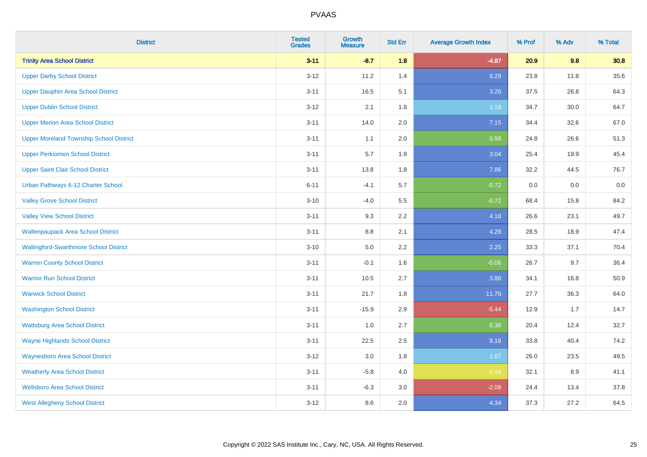| <b>District</b>                                | <b>Tested</b><br><b>Grades</b> | Growth<br><b>Measure</b> | <b>Std Err</b> | <b>Average Growth Index</b> | % Prof | % Adv | % Total |
|------------------------------------------------|--------------------------------|--------------------------|----------------|-----------------------------|--------|-------|---------|
| <b>Trinity Area School District</b>            | $3 - 11$                       | $-8.7$                   | 1.8            | $-4.87$                     | 20.9   | 9.8   | 30.8    |
| <b>Upper Darby School District</b>             | $3 - 12$                       | 11.2                     | 1.4            | 8.28                        | 23.8   | 11.8  | 35.6    |
| <b>Upper Dauphin Area School District</b>      | $3 - 11$                       | 16.5                     | 5.1            | 3.26                        | 37.5   | 26.8  | 64.3    |
| <b>Upper Dublin School District</b>            | $3 - 12$                       | 2.1                      | 1.8            | 1.19                        | 34.7   | 30.0  | 64.7    |
| <b>Upper Merion Area School District</b>       | $3 - 11$                       | 14.0                     | 2.0            | 7.15                        | 34.4   | 32.6  | 67.0    |
| <b>Upper Moreland Township School District</b> | $3 - 11$                       | 1.1                      | 2.0            | 0.56                        | 24.8   | 26.6  | 51.3    |
| <b>Upper Perkiomen School District</b>         | $3 - 11$                       | 5.7                      | 1.9            | 3.04                        | 25.4   | 19.9  | 45.4    |
| <b>Upper Saint Clair School District</b>       | $3 - 11$                       | 13.8                     | 1.8            | 7.86                        | 32.2   | 44.5  | 76.7    |
| Urban Pathways 6-12 Charter School             | $6 - 11$                       | $-4.1$                   | 5.7            | $-0.72$                     | 0.0    | 0.0   | 0.0     |
| <b>Valley Grove School District</b>            | $3 - 10$                       | $-4.0$                   | 5.5            | $-0.72$                     | 68.4   | 15.8  | 84.2    |
| <b>Valley View School District</b>             | $3 - 11$                       | 9.3                      | 2.2            | 4.18                        | 26.6   | 23.1  | 49.7    |
| <b>Wallenpaupack Area School District</b>      | $3 - 11$                       | 8.8                      | 2.1            | 4.28                        | 28.5   | 18.9  | 47.4    |
| <b>Wallingford-Swarthmore School District</b>  | $3 - 10$                       | $5.0\,$                  | 2.2            | 2.25                        | 33.3   | 37.1  | 70.4    |
| <b>Warren County School District</b>           | $3 - 11$                       | $-0.1$                   | 1.6            | $-0.06$                     | 26.7   | 9.7   | 36.4    |
| <b>Warrior Run School District</b>             | $3 - 11$                       | 10.5                     | 2.7            | 3.86                        | 34.1   | 16.8  | 50.9    |
| <b>Warwick School District</b>                 | $3 - 11$                       | 21.7                     | 1.8            | 11.76                       | 27.7   | 36.3  | 64.0    |
| <b>Washington School District</b>              | $3 - 11$                       | $-15.9$                  | 2.9            | $-5.44$                     | 12.9   | 1.7   | 14.7    |
| <b>Wattsburg Area School District</b>          | $3 - 11$                       | 1.0                      | 2.7            | 0.36                        | 20.4   | 12.4  | 32.7    |
| <b>Wayne Highlands School District</b>         | $3 - 11$                       | 22.5                     | 2.5            | 9.16                        | 33.8   | 40.4  | 74.2    |
| <b>Waynesboro Area School District</b>         | $3 - 12$                       | 3.0                      | 1.8            | 1.67                        | 26.0   | 23.5  | 49.5    |
| <b>Weatherly Area School District</b>          | $3 - 11$                       | $-5.8$                   | 4.0            | $-1.44$                     | 32.1   | 8.9   | 41.1    |
| <b>Wellsboro Area School District</b>          | $3 - 11$                       | $-6.3$                   | 3.0            | $-2.08$                     | 24.4   | 13.4  | 37.8    |
| <b>West Allegheny School District</b>          | $3 - 12$                       | 8.6                      | 2.0            | 4.34                        | 37.3   | 27.2  | 64.5    |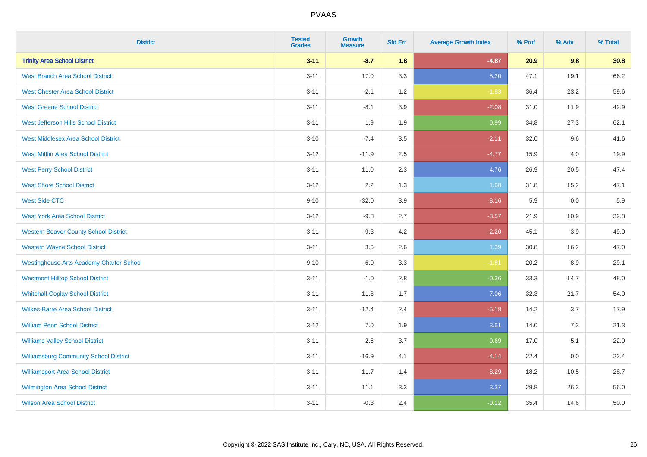| <b>District</b>                                 | <b>Tested</b><br><b>Grades</b> | <b>Growth</b><br><b>Measure</b> | <b>Std Err</b> | <b>Average Growth Index</b> | % Prof | % Adv | % Total |
|-------------------------------------------------|--------------------------------|---------------------------------|----------------|-----------------------------|--------|-------|---------|
| <b>Trinity Area School District</b>             | $3 - 11$                       | $-8.7$                          | 1.8            | $-4.87$                     | 20.9   | 9.8   | 30.8    |
| <b>West Branch Area School District</b>         | $3 - 11$                       | 17.0                            | 3.3            | 5.20                        | 47.1   | 19.1  | 66.2    |
| <b>West Chester Area School District</b>        | $3 - 11$                       | $-2.1$                          | 1.2            | $-1.83$                     | 36.4   | 23.2  | 59.6    |
| <b>West Greene School District</b>              | $3 - 11$                       | $-8.1$                          | 3.9            | $-2.08$                     | 31.0   | 11.9  | 42.9    |
| West Jefferson Hills School District            | $3 - 11$                       | 1.9                             | 1.9            | 0.99                        | 34.8   | 27.3  | 62.1    |
| <b>West Middlesex Area School District</b>      | $3 - 10$                       | $-7.4$                          | 3.5            | $-2.11$                     | 32.0   | 9.6   | 41.6    |
| <b>West Mifflin Area School District</b>        | $3 - 12$                       | $-11.9$                         | 2.5            | $-4.77$                     | 15.9   | 4.0   | 19.9    |
| <b>West Perry School District</b>               | $3 - 11$                       | 11.0                            | 2.3            | 4.76                        | 26.9   | 20.5  | 47.4    |
| <b>West Shore School District</b>               | $3 - 12$                       | 2.2                             | 1.3            | 1.68                        | 31.8   | 15.2  | 47.1    |
| <b>West Side CTC</b>                            | $9 - 10$                       | $-32.0$                         | 3.9            | $-8.16$                     | 5.9    | 0.0   | 5.9     |
| <b>West York Area School District</b>           | $3 - 12$                       | $-9.8$                          | 2.7            | $-3.57$                     | 21.9   | 10.9  | 32.8    |
| <b>Western Beaver County School District</b>    | $3 - 11$                       | $-9.3$                          | 4.2            | $-2.20$                     | 45.1   | 3.9   | 49.0    |
| <b>Western Wayne School District</b>            | $3 - 11$                       | 3.6                             | 2.6            | 1.39                        | 30.8   | 16.2  | 47.0    |
| <b>Westinghouse Arts Academy Charter School</b> | $9 - 10$                       | $-6.0$                          | 3.3            | $-1.81$                     | 20.2   | 8.9   | 29.1    |
| <b>Westmont Hilltop School District</b>         | $3 - 11$                       | $-1.0$                          | 2.8            | $-0.36$                     | 33.3   | 14.7  | 48.0    |
| <b>Whitehall-Coplay School District</b>         | $3 - 11$                       | 11.8                            | 1.7            | 7.06                        | 32.3   | 21.7  | 54.0    |
| <b>Wilkes-Barre Area School District</b>        | $3 - 11$                       | $-12.4$                         | 2.4            | $-5.18$                     | 14.2   | 3.7   | 17.9    |
| <b>William Penn School District</b>             | $3 - 12$                       | 7.0                             | 1.9            | 3.61                        | 14.0   | 7.2   | 21.3    |
| <b>Williams Valley School District</b>          | $3 - 11$                       | 2.6                             | 3.7            | 0.69                        | 17.0   | 5.1   | 22.0    |
| <b>Williamsburg Community School District</b>   | $3 - 11$                       | $-16.9$                         | 4.1            | $-4.14$                     | 22.4   | 0.0   | 22.4    |
| <b>Williamsport Area School District</b>        | $3 - 11$                       | $-11.7$                         | 1.4            | $-8.29$                     | 18.2   | 10.5  | 28.7    |
| Wilmington Area School District                 | $3 - 11$                       | 11.1                            | 3.3            | 3.37                        | 29.8   | 26.2  | 56.0    |
| <b>Wilson Area School District</b>              | $3 - 11$                       | $-0.3$                          | 2.4            | $-0.12$                     | 35.4   | 14.6  | 50.0    |